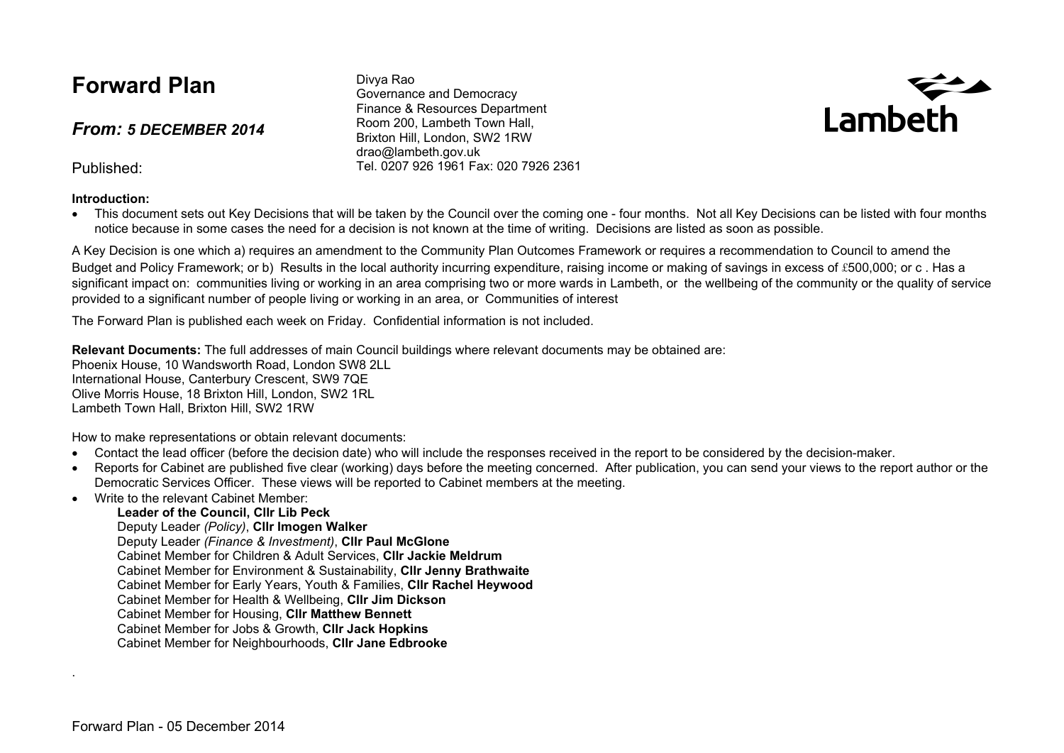## **Forward Plan**

*From: 5 DECEMBER 2014*

Published:

#### **Introduction:**

Divya Rao Governance and Democracy Finance & Resources Department Room 200, Lambeth Town Hall, Brixton Hill, London, SW2 1RW drao@lambeth.gov.uk Tel. 0207 926 1961 Fax: 020 7926 2361



• This document sets out Key Decisions that will be taken by the Council over the coming one - four months. Not all Key Decisions can be listed with four months notice because in some cases the need for a decision is not known at the time of writing. Decisions are listed as soon as possible.

A Key Decision is one which a) requires an amendment to the Community Plan Outcomes Framework or requires a recommendation to Council to amend the Budget and Policy Framework; or b) Results in the local authority incurring expenditure, raising income or making of savings in excess of £500,000; or c, Has a significant impact on: communities living or working in an area comprising two or more wards in Lambeth, or the wellbeing of the community or the quality of service provided to a significant number of people living or working in an area, or Communities of interest

The Forward Plan is published each week on Friday. Confidential information is not included.

**Relevant Documents:** The full addresses of main Council buildings where relevant documents may be obtained are: Phoenix House, 10 Wandsworth Road, London SW8 2LL International House, Canterbury Crescent, SW9 7QE Olive Morris House, 18 Brixton Hill, London, SW2 1RL Lambeth Town Hall, Brixton Hill, SW2 1RW

How to make representations or obtain relevant documents:

- Contact the lead officer (before the decision date) who will include the responses received in the report to be considered by the decision-maker.
- Reports for Cabinet are published five clear (working) days before the meeting concerned. After publication, you can send your views to the report author or the Democratic Services Officer. These views will be reported to Cabinet members at the meeting.
- Write to the relevant Cabinet Member:

#### **Leader of the Council, Cllr Lib Peck**

Deputy Leader *(Policy)*, **Cllr Imogen Walker**

Deputy Leader *(Finance & Investment)*, **Cllr Paul McGlone**

Cabinet Member for Children & Adult Services, **Cllr Jackie Meldrum**

Cabinet Member for Environment & Sustainability, **Cllr Jenny Brathwaite**

Cabinet Member for Early Years, Youth & Families, **Cllr Rachel Heywood**

Cabinet Member for Health & Wellbeing, **Cllr Jim Dickson**

- Cabinet Member for Housing, **Cllr Matthew Bennett**
- Cabinet Member for Jobs & Growth, **Cllr Jack Hopkins**
- Cabinet Member for Neighbourhoods, **Cllr Jane Edbrooke**

.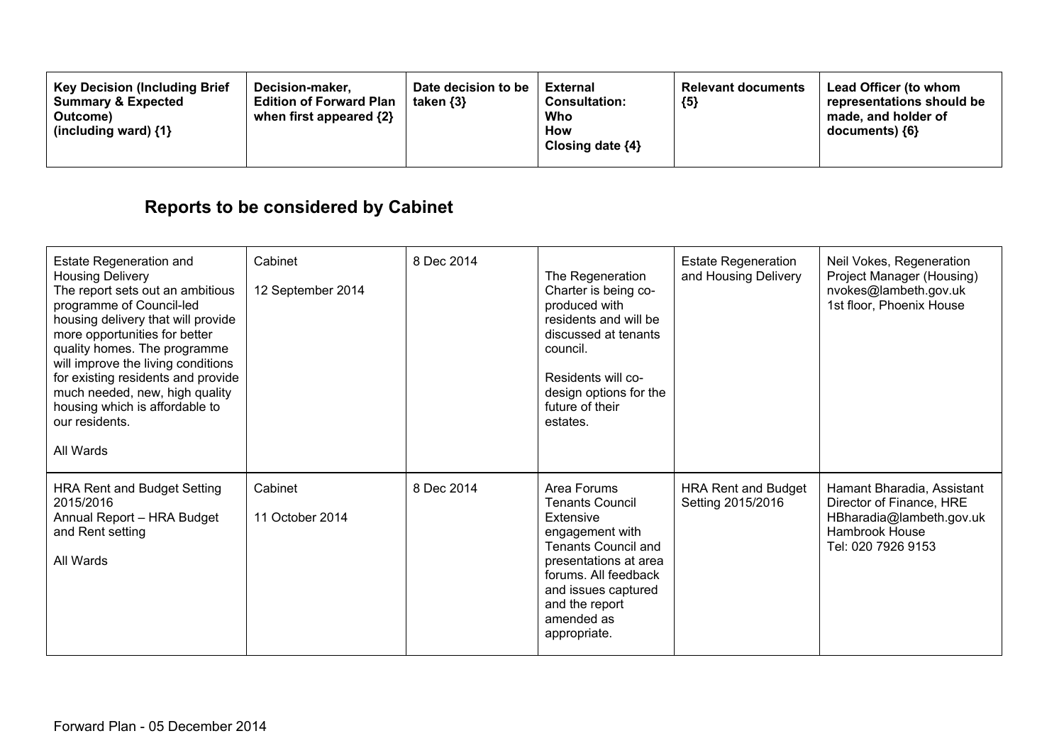| <b>Key Decision (Including Brief)</b><br>Decision-maker.<br><b>Summary &amp; Expected</b><br><b>Edition of Forward Plan</b><br>when first appeared $\{2\}$<br>Outcome)<br>(including ward) {1} | Date decision to be<br>taken $\{3\}$ | External<br><b>Consultation:</b><br>Who<br>How<br>Closing date ${4}$ | <b>Relevant documents</b><br>${5}$ | <b>Lead Officer (to whom</b><br>representations should be<br>made, and holder of<br>$documents)$ {6} |
|------------------------------------------------------------------------------------------------------------------------------------------------------------------------------------------------|--------------------------------------|----------------------------------------------------------------------|------------------------------------|------------------------------------------------------------------------------------------------------|
|------------------------------------------------------------------------------------------------------------------------------------------------------------------------------------------------|--------------------------------------|----------------------------------------------------------------------|------------------------------------|------------------------------------------------------------------------------------------------------|

# **Reports to be considered by Cabinet**

| <b>Estate Regeneration and</b><br><b>Housing Delivery</b><br>The report sets out an ambitious<br>programme of Council-led<br>housing delivery that will provide<br>more opportunities for better<br>quality homes. The programme<br>will improve the living conditions<br>for existing residents and provide<br>much needed, new, high quality<br>housing which is affordable to<br>our residents.<br>All Wards | Cabinet<br>12 September 2014 | 8 Dec 2014 | The Regeneration<br>Charter is being co-<br>produced with<br>residents and will be<br>discussed at tenants<br>council.<br>Residents will co-<br>design options for the<br>future of their<br>estates.                       | <b>Estate Regeneration</b><br>and Housing Delivery | Neil Vokes, Regeneration<br>Project Manager (Housing)<br>nvokes@lambeth.gov.uk<br>1st floor, Phoenix House                 |
|-----------------------------------------------------------------------------------------------------------------------------------------------------------------------------------------------------------------------------------------------------------------------------------------------------------------------------------------------------------------------------------------------------------------|------------------------------|------------|-----------------------------------------------------------------------------------------------------------------------------------------------------------------------------------------------------------------------------|----------------------------------------------------|----------------------------------------------------------------------------------------------------------------------------|
| <b>HRA Rent and Budget Setting</b><br>2015/2016<br>Annual Report - HRA Budget<br>and Rent setting<br>All Wards                                                                                                                                                                                                                                                                                                  | Cabinet<br>11 October 2014   | 8 Dec 2014 | Area Forums<br><b>Tenants Council</b><br>Extensive<br>engagement with<br><b>Tenants Council and</b><br>presentations at area<br>forums. All feedback<br>and issues captured<br>and the report<br>amended as<br>appropriate. | <b>HRA Rent and Budget</b><br>Setting 2015/2016    | Hamant Bharadia, Assistant<br>Director of Finance, HRE<br>HBharadia@lambeth.gov.uk<br>Hambrook House<br>Tel: 020 7926 9153 |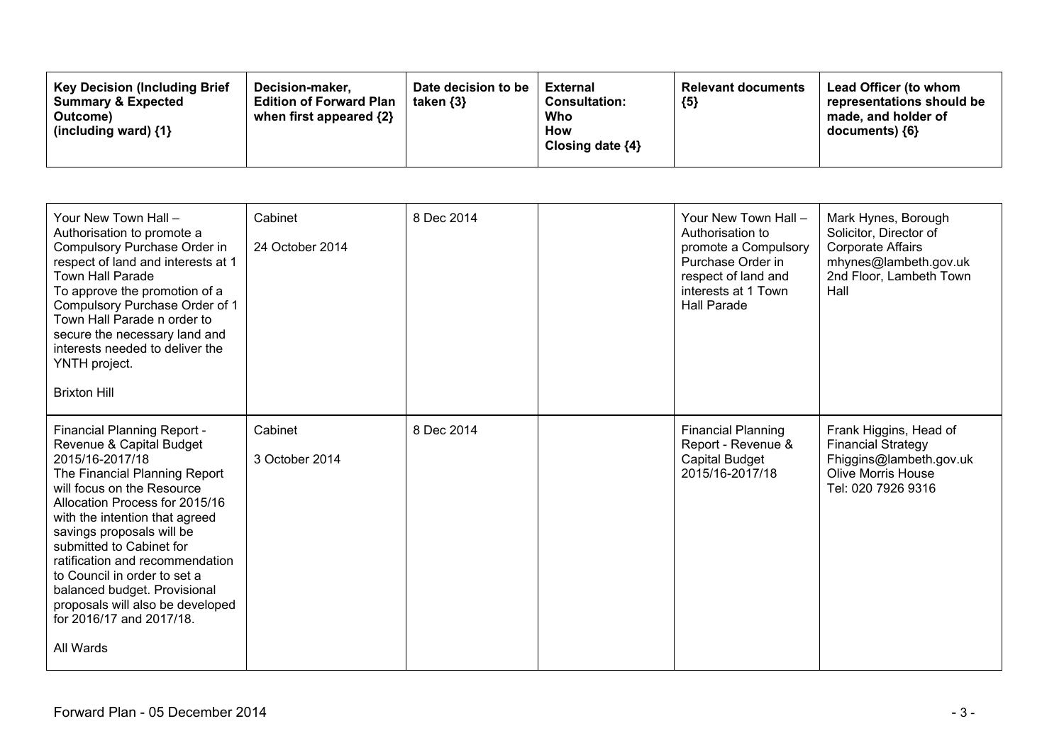| <b>Key Decision (Including Brief</b><br><b>Summary &amp; Expected</b><br>Outcome)<br>(including ward) $\{1\}$ | Decision-maker.<br><b>Edition of Forward Plan</b><br>when first appeared {2} | Date decision to be<br>taken $\{3\}$ | <b>External</b><br><b>Consultation:</b><br>Who<br>How<br>Closing date $\{4\}$ | <b>Relevant documents</b><br>${5}$ | Lead Officer (to whom<br>representations should be<br>made, and holder of<br>documents) {6} |
|---------------------------------------------------------------------------------------------------------------|------------------------------------------------------------------------------|--------------------------------------|-------------------------------------------------------------------------------|------------------------------------|---------------------------------------------------------------------------------------------|
|---------------------------------------------------------------------------------------------------------------|------------------------------------------------------------------------------|--------------------------------------|-------------------------------------------------------------------------------|------------------------------------|---------------------------------------------------------------------------------------------|

| Your New Town Hall -<br>Authorisation to promote a<br>Compulsory Purchase Order in<br>respect of land and interests at 1<br><b>Town Hall Parade</b><br>To approve the promotion of a<br>Compulsory Purchase Order of 1<br>Town Hall Parade n order to<br>secure the necessary land and<br>interests needed to deliver the<br>YNTH project.<br><b>Brixton Hill</b>                                                                                      | Cabinet<br>24 October 2014 | 8 Dec 2014 | Your New Town Hall -<br>Authorisation to<br>promote a Compulsory<br>Purchase Order in<br>respect of land and<br>interests at 1 Town<br><b>Hall Parade</b> | Mark Hynes, Borough<br>Solicitor, Director of<br><b>Corporate Affairs</b><br>mhynes@lambeth.gov.uk<br>2nd Floor, Lambeth Town<br>Hall |
|--------------------------------------------------------------------------------------------------------------------------------------------------------------------------------------------------------------------------------------------------------------------------------------------------------------------------------------------------------------------------------------------------------------------------------------------------------|----------------------------|------------|-----------------------------------------------------------------------------------------------------------------------------------------------------------|---------------------------------------------------------------------------------------------------------------------------------------|
| Financial Planning Report -<br>Revenue & Capital Budget<br>2015/16-2017/18<br>The Financial Planning Report<br>will focus on the Resource<br>Allocation Process for 2015/16<br>with the intention that agreed<br>savings proposals will be<br>submitted to Cabinet for<br>ratification and recommendation<br>to Council in order to set a<br>balanced budget. Provisional<br>proposals will also be developed<br>for 2016/17 and 2017/18.<br>All Wards | Cabinet<br>3 October 2014  | 8 Dec 2014 | <b>Financial Planning</b><br>Report - Revenue &<br><b>Capital Budget</b><br>2015/16-2017/18                                                               | Frank Higgins, Head of<br><b>Financial Strategy</b><br>Fhiggins@lambeth.gov.uk<br>Olive Morris House<br>Tel: 020 7926 9316            |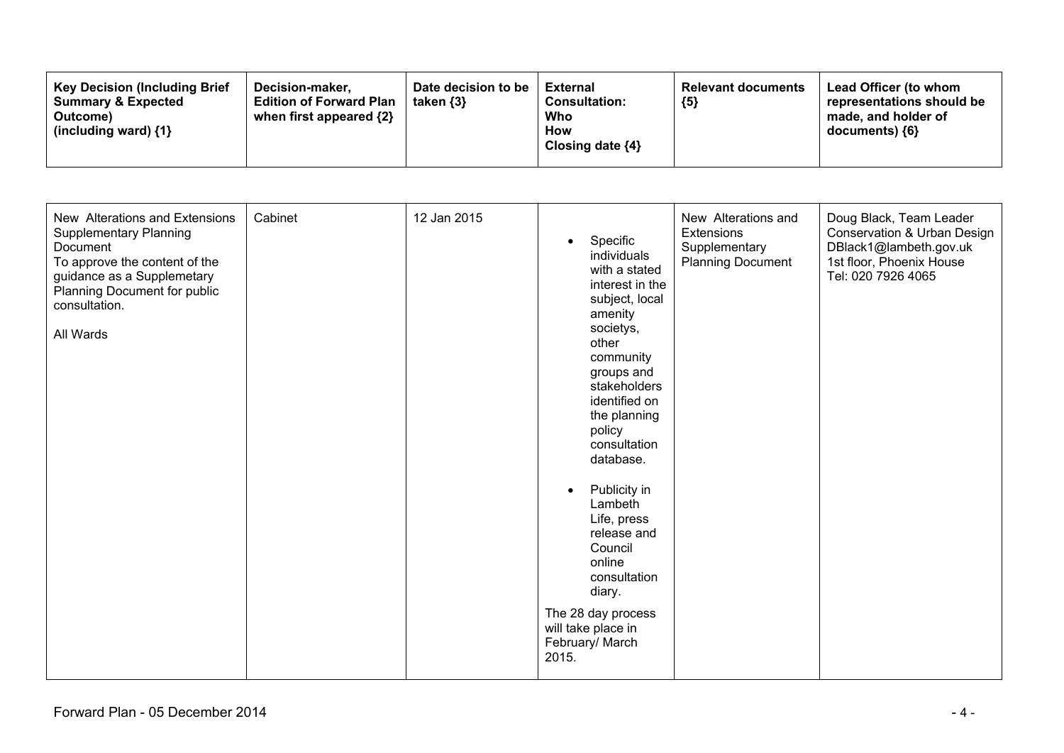| <b>Key Decision (Including Brief</b><br>Decision-maker.<br><b>Edition of Forward Plan</b><br><b>Summary &amp; Expected</b><br>when first appeared $\{2\}$<br>Outcome)<br>(including ward) {1} | Date decision to be<br>taken {3} | <b>External</b><br><b>Consultation:</b><br>Who<br>How<br>Closing date $\{4\}$ | <b>Relevant documents</b><br>${5}$ | Lead Officer (to whom<br>representations should be<br>made, and holder of<br>documents) {6} |
|-----------------------------------------------------------------------------------------------------------------------------------------------------------------------------------------------|----------------------------------|-------------------------------------------------------------------------------|------------------------------------|---------------------------------------------------------------------------------------------|
|-----------------------------------------------------------------------------------------------------------------------------------------------------------------------------------------------|----------------------------------|-------------------------------------------------------------------------------|------------------------------------|---------------------------------------------------------------------------------------------|

| New Alterations and Extensions<br>Cabinet<br><b>Supplementary Planning</b><br><b>Document</b><br>To approve the content of the<br>guidance as a Supplemetary<br>Planning Document for public<br>consultation.<br>All Wards | 12 Jan 2015 | Specific<br>$\bullet$<br>individuals<br>with a stated<br>interest in the<br>subject, local<br>amenity<br>societys,<br>other<br>community<br>groups and<br>stakeholders<br>identified on<br>the planning<br>policy<br>consultation<br>database.<br>Publicity in<br>$\bullet$<br>Lambeth<br>Life, press<br>release and<br>Council<br>online<br>consultation<br>diary.<br>The 28 day process<br>will take place in<br>February/ March<br>2015. | New Alterations and<br>Extensions<br>Supplementary<br><b>Planning Document</b> | Doug Black, Team Leader<br>Conservation & Urban Design<br>DBlack1@lambeth.gov.uk<br>1st floor, Phoenix House<br>Tel: 020 7926 4065 |
|----------------------------------------------------------------------------------------------------------------------------------------------------------------------------------------------------------------------------|-------------|---------------------------------------------------------------------------------------------------------------------------------------------------------------------------------------------------------------------------------------------------------------------------------------------------------------------------------------------------------------------------------------------------------------------------------------------|--------------------------------------------------------------------------------|------------------------------------------------------------------------------------------------------------------------------------|
|----------------------------------------------------------------------------------------------------------------------------------------------------------------------------------------------------------------------------|-------------|---------------------------------------------------------------------------------------------------------------------------------------------------------------------------------------------------------------------------------------------------------------------------------------------------------------------------------------------------------------------------------------------------------------------------------------------|--------------------------------------------------------------------------------|------------------------------------------------------------------------------------------------------------------------------------|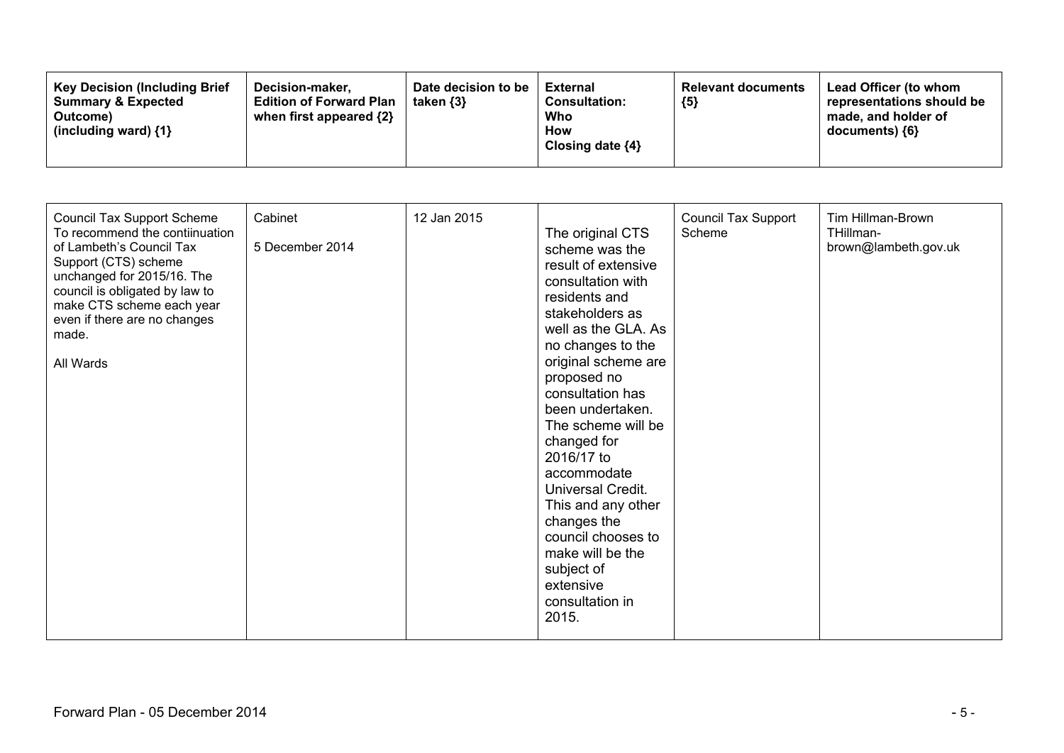| <b>Key Decision (Including Brief</b><br>Decision-maker.<br><b>Summary &amp; Expected</b><br>Outcome)<br>(including ward) $\{1\}$ | Date decision to be<br>taken $\{3\}$<br><b>Edition of Forward Plan</b><br>when first appeared $\{2\}$ | <b>External</b><br><b>Consultation:</b><br>Who<br>How<br>Closing date $\{4\}$ | <b>Relevant documents</b><br>${5}$ | <b>Lead Officer (to whom</b><br>representations should be<br>made, and holder of<br>$documents)$ {6} |
|----------------------------------------------------------------------------------------------------------------------------------|-------------------------------------------------------------------------------------------------------|-------------------------------------------------------------------------------|------------------------------------|------------------------------------------------------------------------------------------------------|
|----------------------------------------------------------------------------------------------------------------------------------|-------------------------------------------------------------------------------------------------------|-------------------------------------------------------------------------------|------------------------------------|------------------------------------------------------------------------------------------------------|

| <b>Council Tax Support Scheme</b><br>To recommend the contiinuation<br>of Lambeth's Council Tax<br>Support (CTS) scheme<br>unchanged for 2015/16. The<br>council is obligated by law to<br>make CTS scheme each year<br>even if there are no changes<br>made.<br>All Wards | Cabinet<br>5 December 2014 | 12 Jan 2015 | The original CTS<br>scheme was the<br>result of extensive<br>consultation with<br>residents and<br>stakeholders as<br>well as the GLA. As<br>no changes to the<br>original scheme are<br>proposed no<br>consultation has<br>been undertaken.<br>The scheme will be<br>changed for<br>2016/17 to<br>accommodate<br>Universal Credit.<br>This and any other<br>changes the<br>council chooses to<br>make will be the<br>subject of<br>extensive<br>consultation in<br>2015. | <b>Council Tax Support</b><br>Scheme | Tim Hillman-Brown<br>THillman-<br>brown@lambeth.gov.uk |
|----------------------------------------------------------------------------------------------------------------------------------------------------------------------------------------------------------------------------------------------------------------------------|----------------------------|-------------|---------------------------------------------------------------------------------------------------------------------------------------------------------------------------------------------------------------------------------------------------------------------------------------------------------------------------------------------------------------------------------------------------------------------------------------------------------------------------|--------------------------------------|--------------------------------------------------------|
|----------------------------------------------------------------------------------------------------------------------------------------------------------------------------------------------------------------------------------------------------------------------------|----------------------------|-------------|---------------------------------------------------------------------------------------------------------------------------------------------------------------------------------------------------------------------------------------------------------------------------------------------------------------------------------------------------------------------------------------------------------------------------------------------------------------------------|--------------------------------------|--------------------------------------------------------|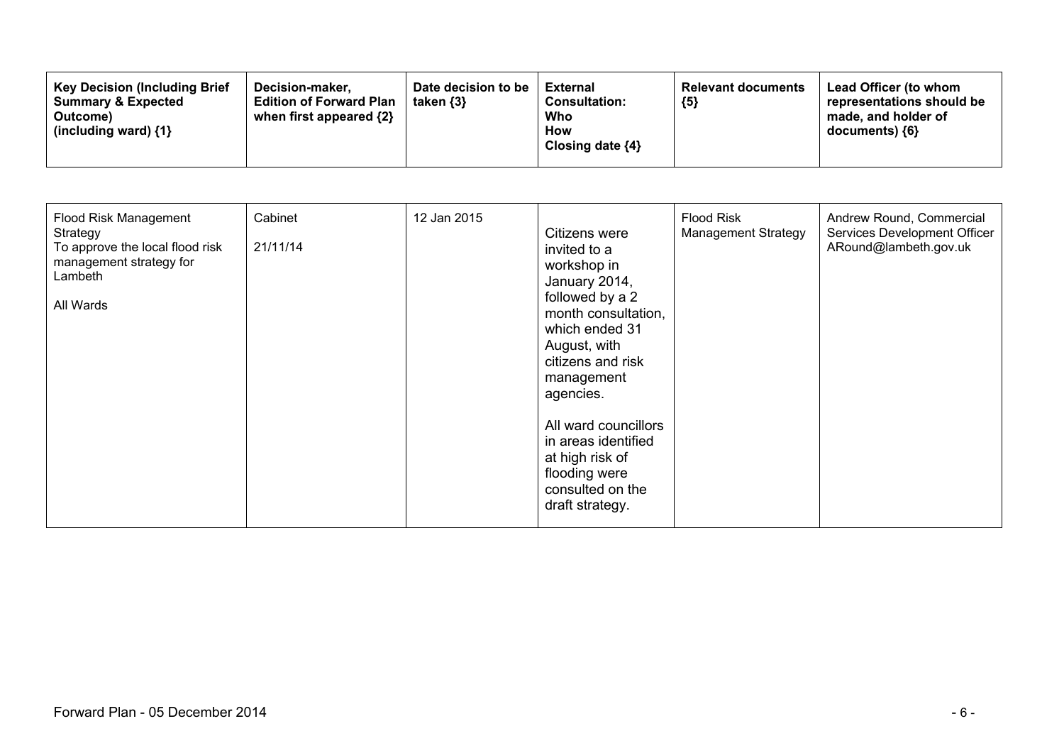| <b>Key Decision (Including Brief</b><br><b>Summary &amp; Expected</b><br>Outcome)<br>(including ward) $\{1\}$ | Date decision to be<br>Decision-maker.<br>taken $\{3\}$<br><b>Edition of Forward Plan</b><br>when first appeared {2} | External<br><b>Consultation:</b><br>Who<br><b>How</b><br>Closing date $\{4\}$ | <b>Relevant documents</b><br>${5}$ | <b>Lead Officer (to whom</b><br>representations should be<br>made, and holder of<br>$documents)$ {6} |
|---------------------------------------------------------------------------------------------------------------|----------------------------------------------------------------------------------------------------------------------|-------------------------------------------------------------------------------|------------------------------------|------------------------------------------------------------------------------------------------------|
|---------------------------------------------------------------------------------------------------------------|----------------------------------------------------------------------------------------------------------------------|-------------------------------------------------------------------------------|------------------------------------|------------------------------------------------------------------------------------------------------|

| Flood Risk Management<br>Strategy<br>To approve the local flood risk<br>management strategy for<br>Lambeth<br>All Wards | Cabinet<br>21/11/14 | 12 Jan 2015 | Citizens were<br>invited to a<br>workshop in<br>January 2014,<br>followed by a 2<br>month consultation,<br>which ended 31<br>August, with<br>citizens and risk<br>management<br>agencies.<br>All ward councillors<br>in areas identified<br>at high risk of<br>flooding were<br>consulted on the<br>draft strategy. | <b>Flood Risk</b><br><b>Management Strategy</b> | Andrew Round, Commercial<br>Services Development Officer<br>ARound@lambeth.gov.uk |
|-------------------------------------------------------------------------------------------------------------------------|---------------------|-------------|---------------------------------------------------------------------------------------------------------------------------------------------------------------------------------------------------------------------------------------------------------------------------------------------------------------------|-------------------------------------------------|-----------------------------------------------------------------------------------|
|-------------------------------------------------------------------------------------------------------------------------|---------------------|-------------|---------------------------------------------------------------------------------------------------------------------------------------------------------------------------------------------------------------------------------------------------------------------------------------------------------------------|-------------------------------------------------|-----------------------------------------------------------------------------------|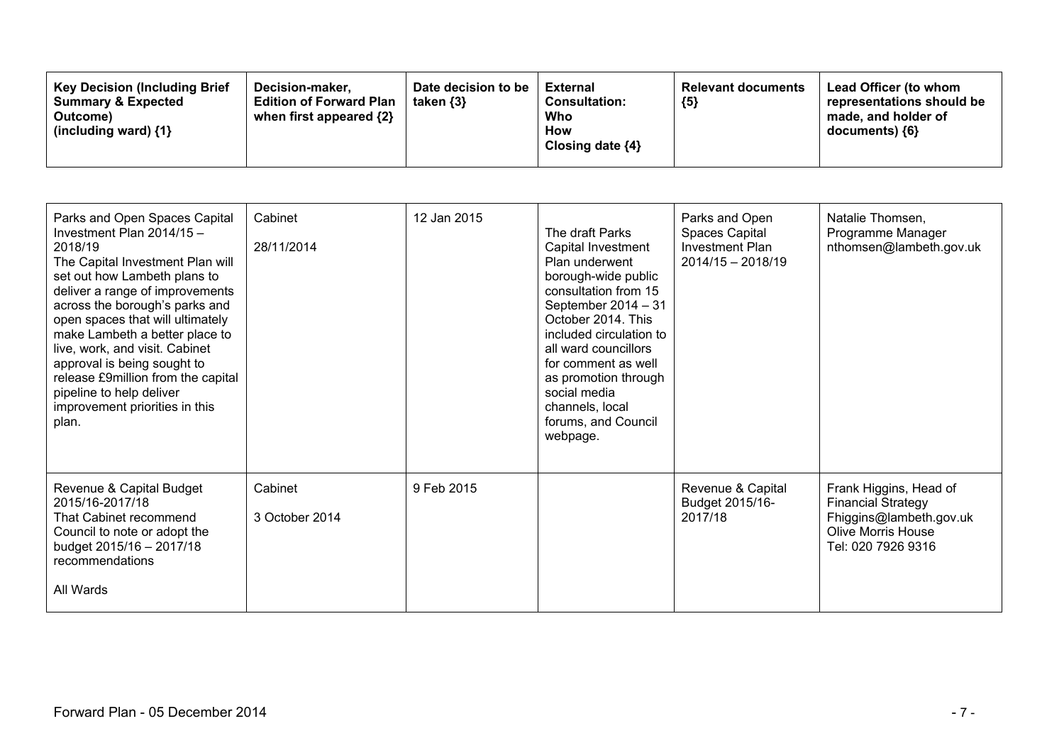| Parks and Open Spaces Capital<br>Investment Plan $2014/15 -$<br>2018/19<br>The Capital Investment Plan will<br>set out how Lambeth plans to<br>deliver a range of improvements<br>across the borough's parks and<br>open spaces that will ultimately<br>make Lambeth a better place to<br>live, work, and visit. Cabinet<br>approval is being sought to<br>release £9million from the capital<br>pipeline to help deliver<br>improvement priorities in this<br>plan. | Cabinet<br>28/11/2014     | 12 Jan 2015 | The draft Parks<br>Capital Investment<br>Plan underwent<br>borough-wide public<br>consultation from 15<br>September 2014 - 31<br>October 2014. This<br>included circulation to<br>all ward councillors<br>for comment as well<br>as promotion through<br>social media<br>channels, local<br>forums, and Council<br>webpage. | Parks and Open<br>Spaces Capital<br><b>Investment Plan</b><br>$2014/15 - 2018/19$ | Natalie Thomsen,<br>Programme Manager<br>nthomsen@lambeth.gov.uk                                                                  |
|----------------------------------------------------------------------------------------------------------------------------------------------------------------------------------------------------------------------------------------------------------------------------------------------------------------------------------------------------------------------------------------------------------------------------------------------------------------------|---------------------------|-------------|-----------------------------------------------------------------------------------------------------------------------------------------------------------------------------------------------------------------------------------------------------------------------------------------------------------------------------|-----------------------------------------------------------------------------------|-----------------------------------------------------------------------------------------------------------------------------------|
| Revenue & Capital Budget<br>2015/16-2017/18<br>That Cabinet recommend<br>Council to note or adopt the<br>budget 2015/16 - 2017/18<br>recommendations<br>All Wards                                                                                                                                                                                                                                                                                                    | Cabinet<br>3 October 2014 | 9 Feb 2015  |                                                                                                                                                                                                                                                                                                                             | Revenue & Capital<br>Budget 2015/16-<br>2017/18                                   | Frank Higgins, Head of<br><b>Financial Strategy</b><br>Fhiggins@lambeth.gov.uk<br><b>Olive Morris House</b><br>Tel: 020 7926 9316 |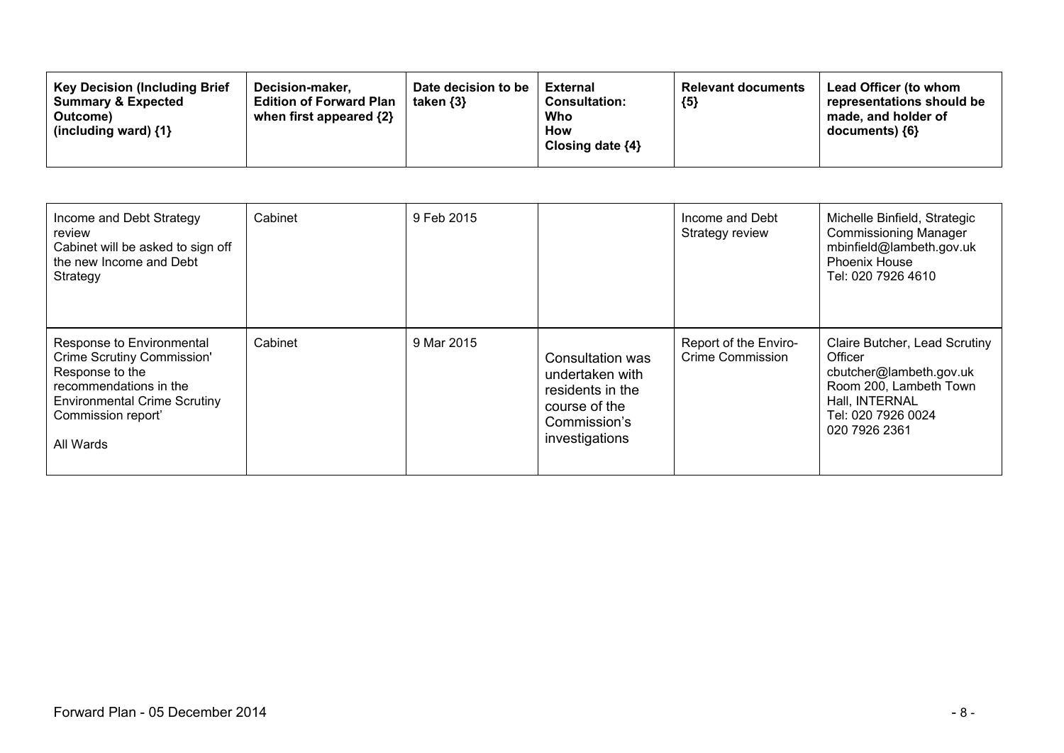| <b>Key Decision (Including Brief</b><br><b>Summary &amp; Expected</b><br>Outcome)<br>(including ward) $\{1\}$ | Date decision to be<br>Decision-maker.<br>taken $\{3\}$<br><b>Edition of Forward Plan</b><br>when first appeared {2} | External<br><b>Consultation:</b><br>Who<br><b>How</b><br>Closing date $\{4\}$ | <b>Relevant documents</b><br>${5}$ | <b>Lead Officer (to whom</b><br>representations should be<br>made, and holder of<br>$documents)$ {6} |
|---------------------------------------------------------------------------------------------------------------|----------------------------------------------------------------------------------------------------------------------|-------------------------------------------------------------------------------|------------------------------------|------------------------------------------------------------------------------------------------------|
|---------------------------------------------------------------------------------------------------------------|----------------------------------------------------------------------------------------------------------------------|-------------------------------------------------------------------------------|------------------------------------|------------------------------------------------------------------------------------------------------|

| Income and Debt Strategy<br>review<br>Cabinet will be asked to sign off<br>the new Income and Debt<br>Strategy                                                                        | Cabinet | 9 Feb 2015 |                                                                                                            | Income and Debt<br>Strategy review               | Michelle Binfield, Strategic<br><b>Commissioning Manager</b><br>mbinfield@lambeth.gov.uk<br><b>Phoenix House</b><br>Tel: 020 7926 4610                 |
|---------------------------------------------------------------------------------------------------------------------------------------------------------------------------------------|---------|------------|------------------------------------------------------------------------------------------------------------|--------------------------------------------------|--------------------------------------------------------------------------------------------------------------------------------------------------------|
| Response to Environmental<br><b>Crime Scrutiny Commission'</b><br>Response to the<br>recommendations in the<br><b>Environmental Crime Scrutiny</b><br>Commission report'<br>All Wards | Cabinet | 9 Mar 2015 | Consultation was<br>undertaken with<br>residents in the<br>course of the<br>Commission's<br>investigations | Report of the Enviro-<br><b>Crime Commission</b> | Claire Butcher, Lead Scrutiny<br>Officer<br>cbutcher@lambeth.gov.uk<br>Room 200, Lambeth Town<br>Hall, INTERNAL<br>Tel: 020 7926 0024<br>020 7926 2361 |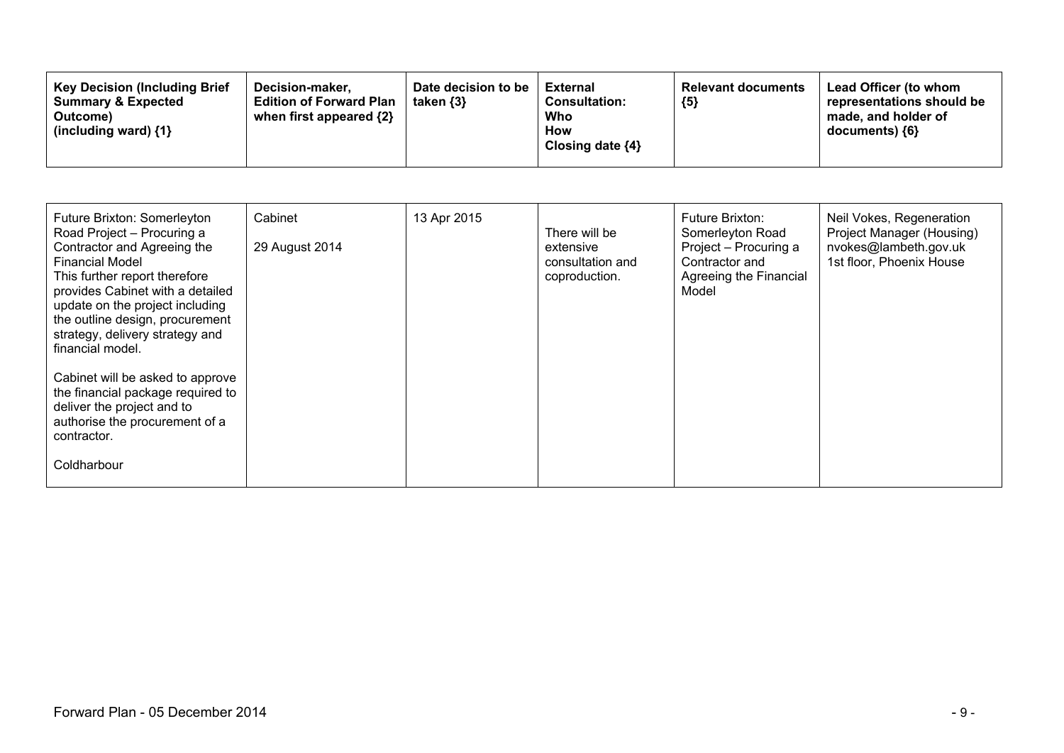| Future Brixton: Somerleyton<br>Road Project - Procuring a<br>Contractor and Agreeing the<br><b>Financial Model</b><br>This further report therefore<br>provides Cabinet with a detailed<br>update on the project including<br>the outline design, procurement<br>strategy, delivery strategy and<br>financial model. | Cabinet<br>29 August 2014 | 13 Apr 2015 | There will be<br>extensive<br>consultation and<br>coproduction. | Future Brixton:<br>Somerleyton Road<br>Project - Procuring a<br>Contractor and<br>Agreeing the Financial<br>Model | Neil Vokes, Regeneration<br>Project Manager (Housing)<br>nvokes@lambeth.gov.uk<br>1st floor, Phoenix House |
|----------------------------------------------------------------------------------------------------------------------------------------------------------------------------------------------------------------------------------------------------------------------------------------------------------------------|---------------------------|-------------|-----------------------------------------------------------------|-------------------------------------------------------------------------------------------------------------------|------------------------------------------------------------------------------------------------------------|
| Cabinet will be asked to approve<br>the financial package required to<br>deliver the project and to<br>authorise the procurement of a<br>contractor.<br>Coldharbour                                                                                                                                                  |                           |             |                                                                 |                                                                                                                   |                                                                                                            |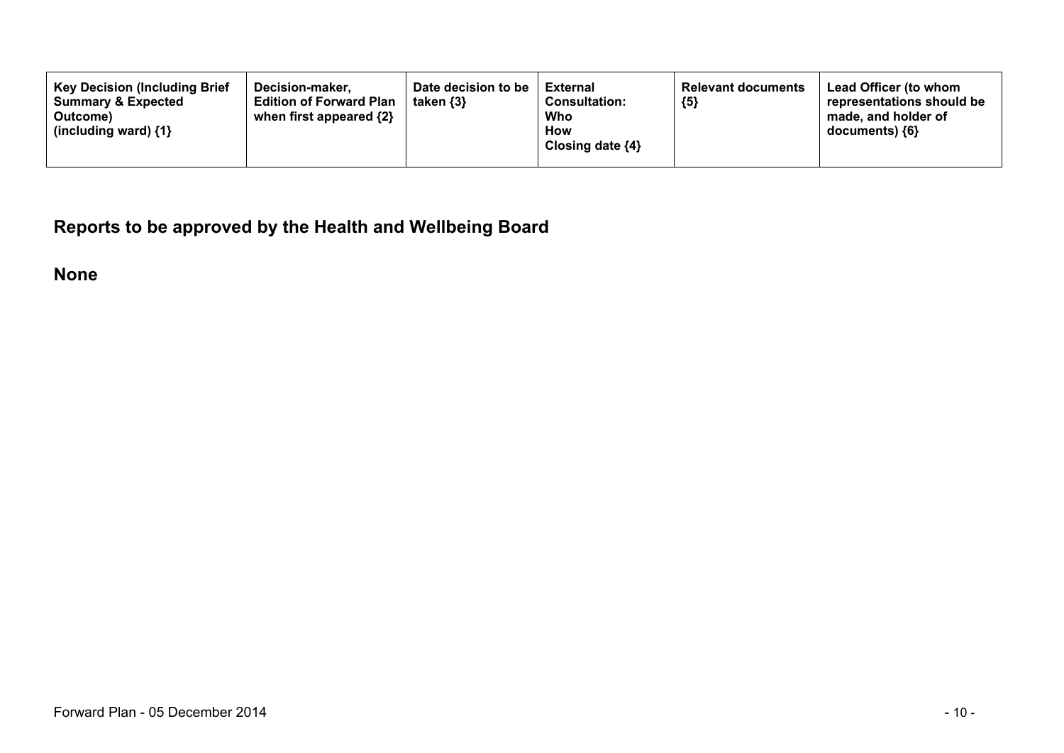**Reports to be approved by the Health and Wellbeing Board**

**None**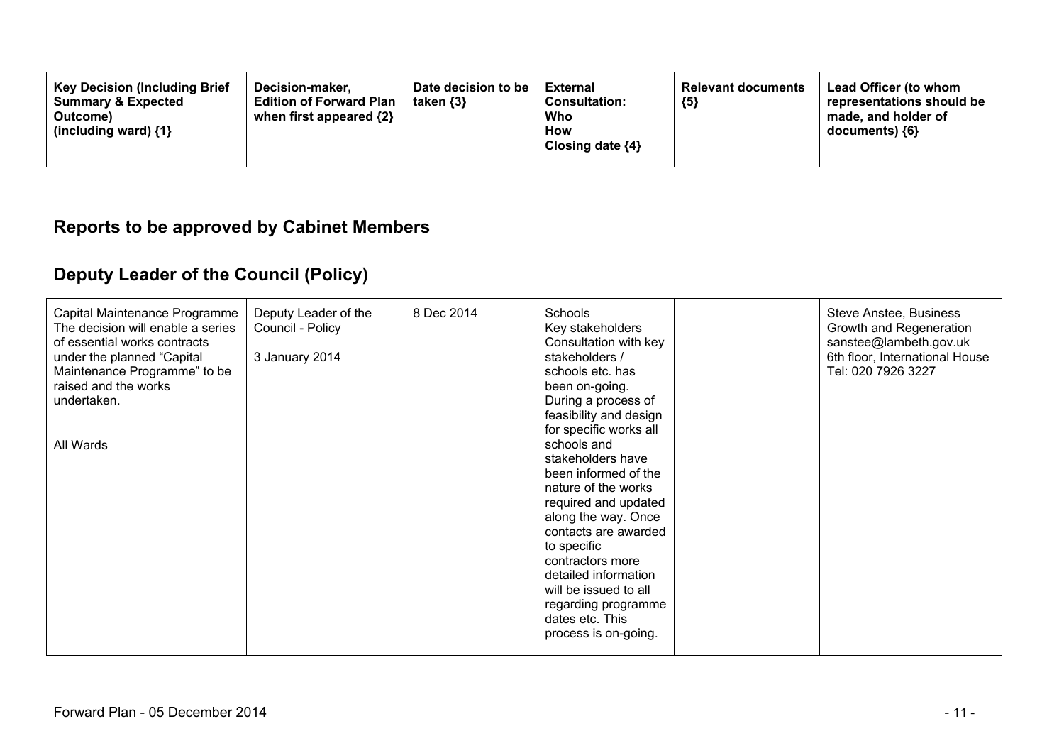| <b>Key Decision (Including Brief</b><br>Decision-maker.<br><b>Summary &amp; Expected</b><br><b>Edition of Forward Plan</b><br>when first appeared $\{2\}$<br>Outcome)<br>(including ward) $\{1\}$ | Date decision to be<br>taken $\{3\}$ | External<br><b>Consultation:</b><br>Who<br>How<br>Closing date ${4}$ | <b>Relevant documents</b><br>${5}$ | <b>Lead Officer (to whom</b><br>representations should be<br>made, and holder of<br>documents) ${6}$ |
|---------------------------------------------------------------------------------------------------------------------------------------------------------------------------------------------------|--------------------------------------|----------------------------------------------------------------------|------------------------------------|------------------------------------------------------------------------------------------------------|
|---------------------------------------------------------------------------------------------------------------------------------------------------------------------------------------------------|--------------------------------------|----------------------------------------------------------------------|------------------------------------|------------------------------------------------------------------------------------------------------|

### **Reports to be approved by Cabinet Members**

# **Deputy Leader of the Council (Policy)**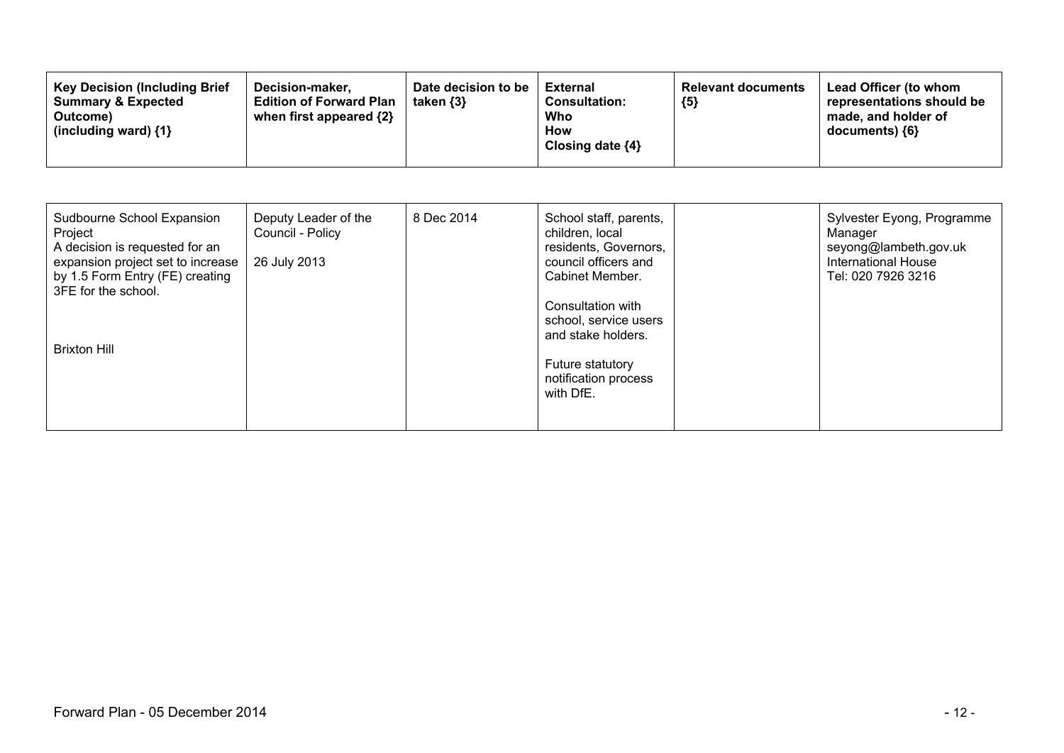| Sudbourne School Expansion<br>Project<br>A decision is requested for an<br>expansion project set to increase<br>by 1.5 Form Entry (FE) creating<br>3FE for the school. | Deputy Leader of the<br>Council - Policy<br>26 July 2013 | 8 Dec 2014 | School staff, parents,<br>children, local<br>residents, Governors,<br>council officers and<br>Cabinet Member.             | Sylvester Eyong, Programme<br>Manager<br>seyong@lambeth.gov.uk<br><b>International House</b><br>Tel: 020 7926 3216 |
|------------------------------------------------------------------------------------------------------------------------------------------------------------------------|----------------------------------------------------------|------------|---------------------------------------------------------------------------------------------------------------------------|--------------------------------------------------------------------------------------------------------------------|
| <b>Brixton Hill</b>                                                                                                                                                    |                                                          |            | Consultation with<br>school, service users<br>and stake holders.<br>Future statutory<br>notification process<br>with DfE. |                                                                                                                    |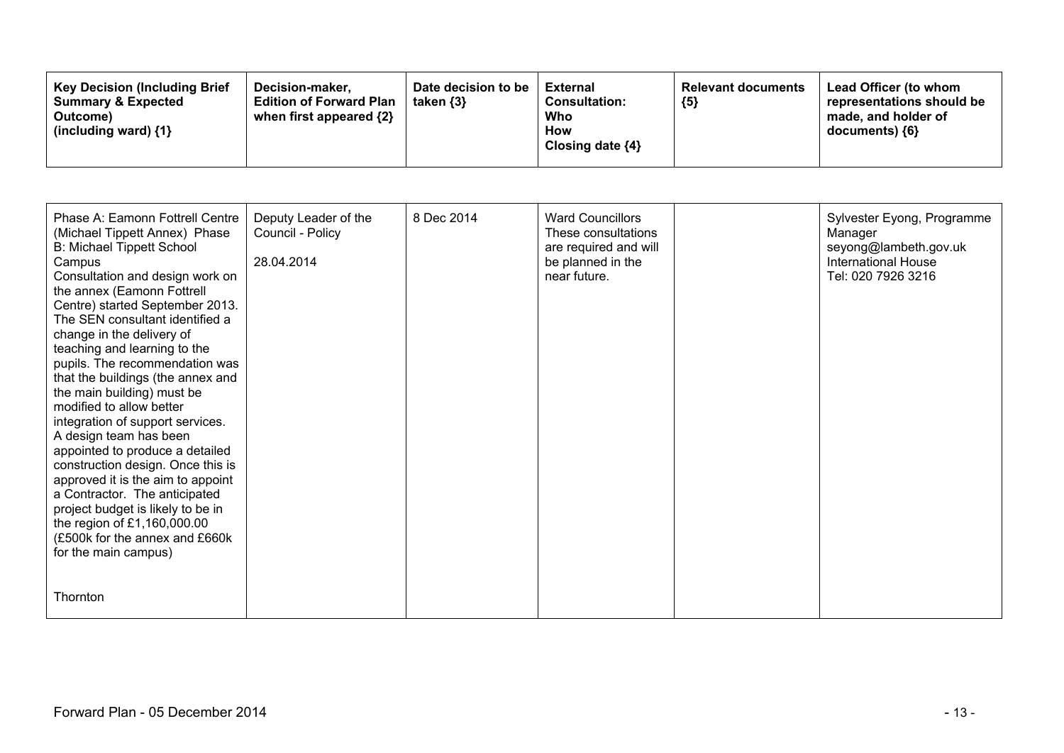| <b>Key Decision (Including Brief)</b><br>Decision-maker.<br><b>Summary &amp; Expected</b><br><b>Edition of Forward Plan</b><br>when first appeared $\{2\}$<br>Outcome)<br>(including ward) $\{1\}$ | Date decision to be<br>taken $\{3\}$ | External<br><b>Consultation:</b><br>Who<br>How<br>Closing date ${4}$ | <b>Relevant documents</b><br>${5}$ | Lead Officer (to whom<br>representations should be<br>made, and holder of<br>documents) ${6}$ |
|----------------------------------------------------------------------------------------------------------------------------------------------------------------------------------------------------|--------------------------------------|----------------------------------------------------------------------|------------------------------------|-----------------------------------------------------------------------------------------------|
|----------------------------------------------------------------------------------------------------------------------------------------------------------------------------------------------------|--------------------------------------|----------------------------------------------------------------------|------------------------------------|-----------------------------------------------------------------------------------------------|

| Phase A: Eamonn Fottrell Centre<br>(Michael Tippett Annex) Phase<br><b>B: Michael Tippett School</b><br>Campus<br>Consultation and design work on<br>the annex (Eamonn Fottrell<br>Centre) started September 2013.<br>The SEN consultant identified a<br>change in the delivery of<br>teaching and learning to the<br>pupils. The recommendation was<br>that the buildings (the annex and<br>the main building) must be<br>modified to allow better<br>integration of support services.<br>A design team has been<br>appointed to produce a detailed<br>construction design. Once this is<br>approved it is the aim to appoint<br>a Contractor. The anticipated<br>project budget is likely to be in<br>the region of £1,160,000.00<br>(£500k for the annex and £660k<br>for the main campus) | Deputy Leader of the<br>Council - Policy<br>28.04.2014 | 8 Dec 2014 | <b>Ward Councillors</b><br>These consultations<br>are required and will<br>be planned in the<br>near future. | Sylvester Eyong, Programme<br>Manager<br>seyong@lambeth.gov.uk<br><b>International House</b><br>Tel: 020 7926 3216 |
|-----------------------------------------------------------------------------------------------------------------------------------------------------------------------------------------------------------------------------------------------------------------------------------------------------------------------------------------------------------------------------------------------------------------------------------------------------------------------------------------------------------------------------------------------------------------------------------------------------------------------------------------------------------------------------------------------------------------------------------------------------------------------------------------------|--------------------------------------------------------|------------|--------------------------------------------------------------------------------------------------------------|--------------------------------------------------------------------------------------------------------------------|
| Thornton                                                                                                                                                                                                                                                                                                                                                                                                                                                                                                                                                                                                                                                                                                                                                                                      |                                                        |            |                                                                                                              |                                                                                                                    |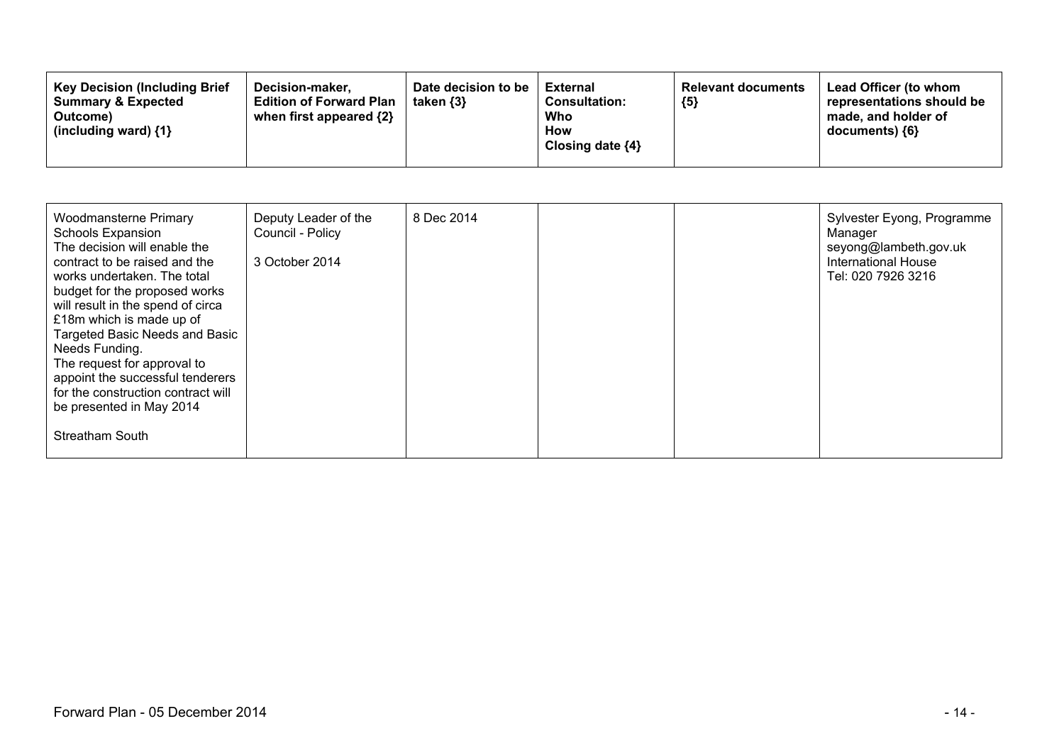| <b>Key Decision (Including Brief</b><br>Decision-maker.<br><b>Summary &amp; Expected</b><br><b>Edition of Forward Plan</b><br>when first appeared $\{2\}$<br>Outcome)<br>(including ward) $\{1\}$ | Date decision to be<br>taken $\{3\}$ | External<br><b>Consultation:</b><br>Who<br>How<br>Closing date $\{4\}$ | <b>Relevant documents</b><br>${5}$ | Lead Officer (to whom<br>representations should be<br>made, and holder of<br>$documents)$ {6} |
|---------------------------------------------------------------------------------------------------------------------------------------------------------------------------------------------------|--------------------------------------|------------------------------------------------------------------------|------------------------------------|-----------------------------------------------------------------------------------------------|
|---------------------------------------------------------------------------------------------------------------------------------------------------------------------------------------------------|--------------------------------------|------------------------------------------------------------------------|------------------------------------|-----------------------------------------------------------------------------------------------|

| Woodmansterne Primary<br>Schools Expansion<br>The decision will enable the<br>contract to be raised and the<br>works undertaken. The total<br>budget for the proposed works<br>will result in the spend of circa<br>£18m which is made up of<br>Targeted Basic Needs and Basic<br>Needs Funding.<br>The request for approval to<br>appoint the successful tenderers<br>for the construction contract will<br>be presented in May 2014 | Deputy Leader of the<br>Council - Policy<br>3 October 2014 | 8 Dec 2014 |  | Sylvester Eyong, Programme<br>Manager<br>seyong@lambeth.gov.uk<br><b>International House</b><br>Tel: 020 7926 3216 |
|---------------------------------------------------------------------------------------------------------------------------------------------------------------------------------------------------------------------------------------------------------------------------------------------------------------------------------------------------------------------------------------------------------------------------------------|------------------------------------------------------------|------------|--|--------------------------------------------------------------------------------------------------------------------|
| <b>Streatham South</b>                                                                                                                                                                                                                                                                                                                                                                                                                |                                                            |            |  |                                                                                                                    |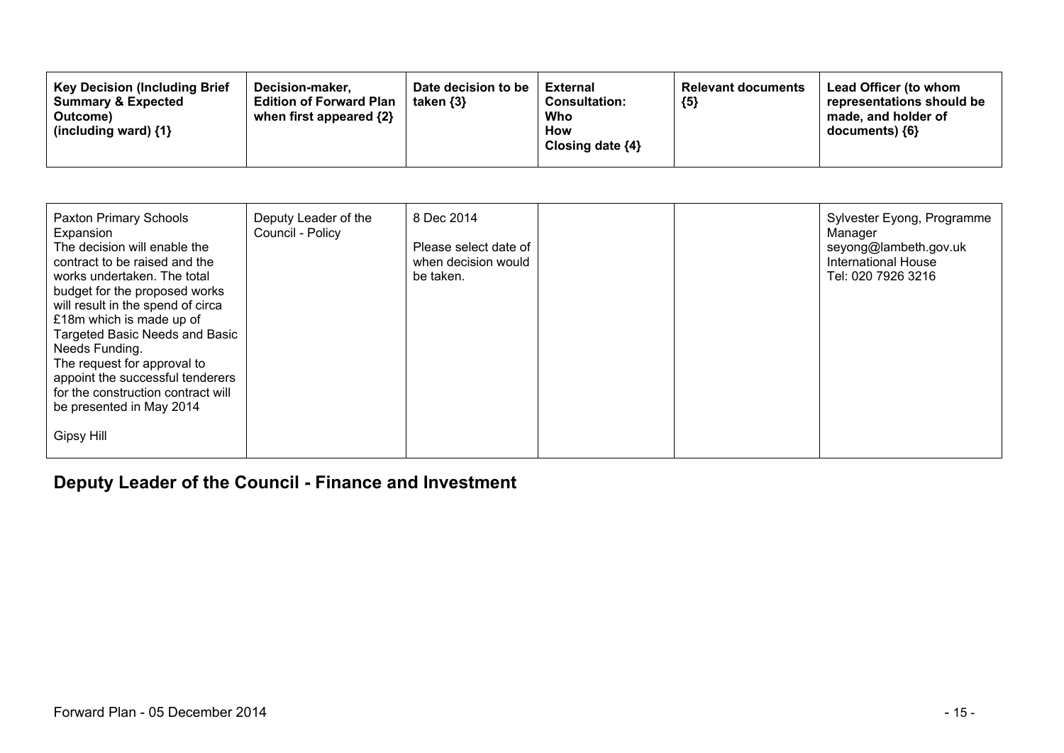| <b>Key Decision (Including Brief</b><br>Decision-maker.<br><b>Edition of Forward Plan</b><br><b>Summary &amp; Expected</b><br>when first appeared $\{2\}$<br>Outcome)<br>(including ward) $\{1\}$ | Date decision to be<br>taken $\{3\}$ | <b>External</b><br><b>Consultation:</b><br>Who<br>How<br>Closing date $\{4\}$ | <b>Relevant documents</b><br>${5}$ | Lead Officer (to whom<br>representations should be<br>made, and holder of<br>$documents)$ {6} |
|---------------------------------------------------------------------------------------------------------------------------------------------------------------------------------------------------|--------------------------------------|-------------------------------------------------------------------------------|------------------------------------|-----------------------------------------------------------------------------------------------|
|---------------------------------------------------------------------------------------------------------------------------------------------------------------------------------------------------|--------------------------------------|-------------------------------------------------------------------------------|------------------------------------|-----------------------------------------------------------------------------------------------|

| Paxton Primary Schools<br>Expansion<br>The decision will enable the<br>contract to be raised and the<br>works undertaken. The total<br>budget for the proposed works<br>will result in the spend of circa<br>£18m which is made up of<br>Targeted Basic Needs and Basic<br>Needs Funding.<br>The request for approval to<br>appoint the successful tenderers<br>for the construction contract will<br>be presented in May 2014 | Deputy Leader of the<br>Council - Policy | 8 Dec 2014<br>Please select date of<br>when decision would<br>be taken. |  | Sylvester Eyong, Programme<br>Manager<br>seyong@lambeth.gov.uk<br><b>International House</b><br>Tel: 020 7926 3216 |
|--------------------------------------------------------------------------------------------------------------------------------------------------------------------------------------------------------------------------------------------------------------------------------------------------------------------------------------------------------------------------------------------------------------------------------|------------------------------------------|-------------------------------------------------------------------------|--|--------------------------------------------------------------------------------------------------------------------|
| <b>Gipsy Hill</b>                                                                                                                                                                                                                                                                                                                                                                                                              |                                          |                                                                         |  |                                                                                                                    |

## **Deputy Leader of the Council - Finance and Investment**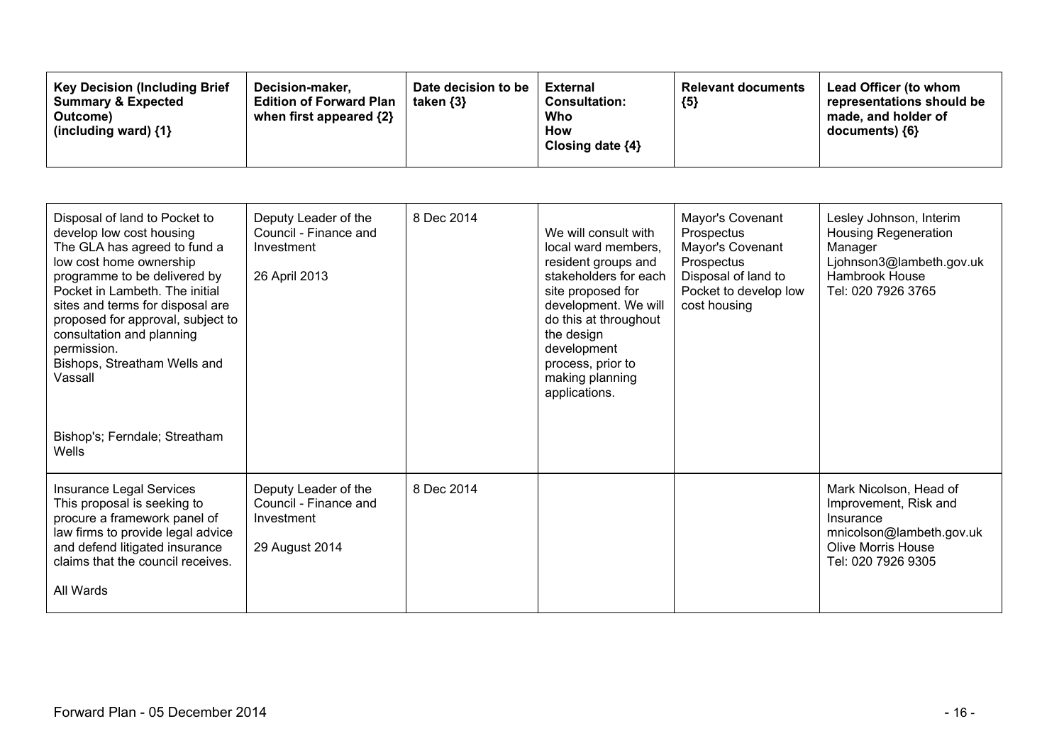| <b>Key Decision (Including Brief</b><br>Date decision to be<br>Decision-maker,<br><b>Summary &amp; Expected</b><br><b>Edition of Forward Plan</b><br>taken $\{3\}$<br>when first appeared {2}<br>Outcome)<br>(including ward) $\{1\}$ | <b>Relevant documents</b><br>External<br><b>Consultation:</b><br>${5}$<br>Who<br>How<br>Closing date $\{4\}$ | Lead Officer (to whom<br>representations should be<br>made, and holder of<br>documents) ${6}$ |
|---------------------------------------------------------------------------------------------------------------------------------------------------------------------------------------------------------------------------------------|--------------------------------------------------------------------------------------------------------------|-----------------------------------------------------------------------------------------------|
|---------------------------------------------------------------------------------------------------------------------------------------------------------------------------------------------------------------------------------------|--------------------------------------------------------------------------------------------------------------|-----------------------------------------------------------------------------------------------|

| Disposal of land to Pocket to<br>develop low cost housing<br>The GLA has agreed to fund a<br>low cost home ownership<br>programme to be delivered by<br>Pocket in Lambeth. The initial<br>sites and terms for disposal are<br>proposed for approval, subject to<br>consultation and planning<br>permission.<br>Bishops, Streatham Wells and<br>Vassall | Deputy Leader of the<br>Council - Finance and<br>Investment<br>26 April 2013  | 8 Dec 2014 | We will consult with<br>local ward members,<br>resident groups and<br>stakeholders for each<br>site proposed for<br>development. We will<br>do this at throughout<br>the design<br>development<br>process, prior to<br>making planning<br>applications. | Mayor's Covenant<br>Prospectus<br>Mayor's Covenant<br>Prospectus<br>Disposal of land to<br>Pocket to develop low<br>cost housing | Lesley Johnson, Interim<br><b>Housing Regeneration</b><br>Manager<br>Ljohnson3@lambeth.gov.uk<br>Hambrook House<br>Tel: 020 7926 3765       |
|--------------------------------------------------------------------------------------------------------------------------------------------------------------------------------------------------------------------------------------------------------------------------------------------------------------------------------------------------------|-------------------------------------------------------------------------------|------------|---------------------------------------------------------------------------------------------------------------------------------------------------------------------------------------------------------------------------------------------------------|----------------------------------------------------------------------------------------------------------------------------------|---------------------------------------------------------------------------------------------------------------------------------------------|
| Bishop's; Ferndale; Streatham<br>Wells                                                                                                                                                                                                                                                                                                                 |                                                                               |            |                                                                                                                                                                                                                                                         |                                                                                                                                  |                                                                                                                                             |
| Insurance Legal Services<br>This proposal is seeking to<br>procure a framework panel of<br>law firms to provide legal advice<br>and defend litigated insurance<br>claims that the council receives.<br>All Wards                                                                                                                                       | Deputy Leader of the<br>Council - Finance and<br>Investment<br>29 August 2014 | 8 Dec 2014 |                                                                                                                                                                                                                                                         |                                                                                                                                  | Mark Nicolson, Head of<br>Improvement, Risk and<br>Insurance<br>mnicolson@lambeth.gov.uk<br><b>Olive Morris House</b><br>Tel: 020 7926 9305 |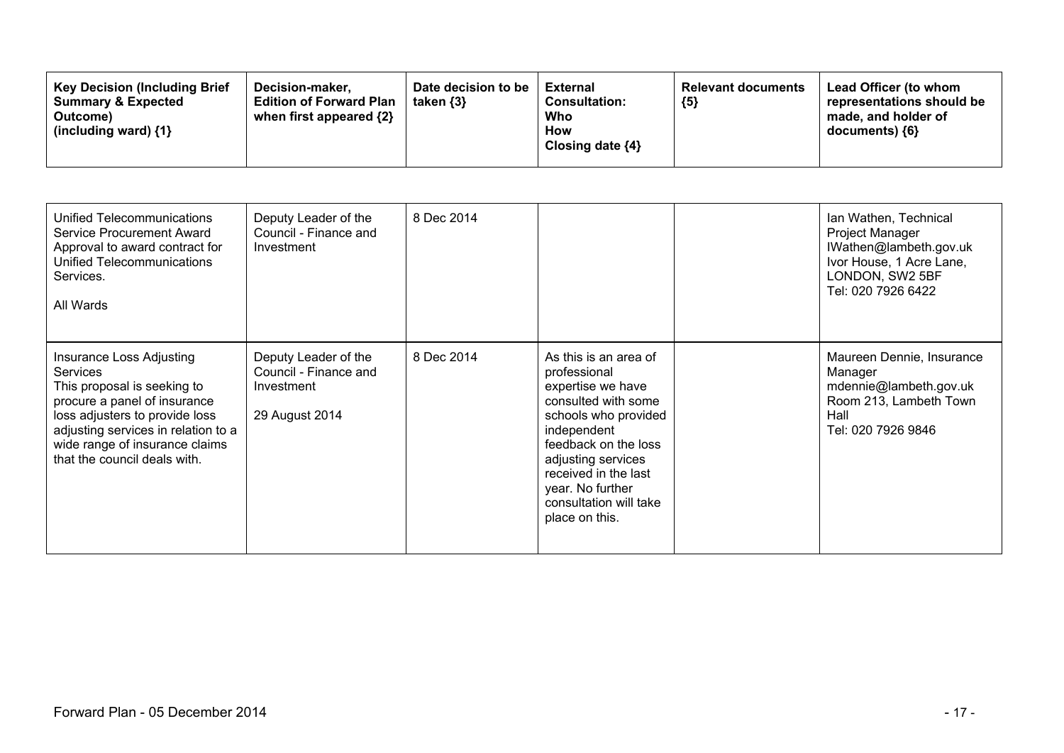| <b>Key Decision (Including Brief)</b><br><b>Summary &amp; Expected</b><br>Outcome)<br>(including ward) $\{1\}$ | Decision-maker.<br><b>Edition of Forward Plan</b><br>when first appeared {2} | Date decision to be<br>taken $\{3\}$ | External<br><b>Consultation:</b><br>Who<br>How<br>Closing date $\{4\}$ | <b>Relevant documents</b><br>${5}$ | Lead Officer (to whom<br>representations should be<br>made, and holder of<br>$documents)$ {6} |
|----------------------------------------------------------------------------------------------------------------|------------------------------------------------------------------------------|--------------------------------------|------------------------------------------------------------------------|------------------------------------|-----------------------------------------------------------------------------------------------|
|----------------------------------------------------------------------------------------------------------------|------------------------------------------------------------------------------|--------------------------------------|------------------------------------------------------------------------|------------------------------------|-----------------------------------------------------------------------------------------------|

| Unified Telecommunications<br>Service Procurement Award<br>Approval to award contract for<br>Unified Telecommunications<br>Services.<br>All Wards                                                                                                     | Deputy Leader of the<br>Council - Finance and<br>Investment                   | 8 Dec 2014 |                                                                                                                                                                                                                                                                | Ian Wathen, Technical<br>Project Manager<br>IWathen@lambeth.gov.uk<br>Ivor House, 1 Acre Lane,<br>LONDON, SW2 5BF<br>Tel: 020 7926 6422 |
|-------------------------------------------------------------------------------------------------------------------------------------------------------------------------------------------------------------------------------------------------------|-------------------------------------------------------------------------------|------------|----------------------------------------------------------------------------------------------------------------------------------------------------------------------------------------------------------------------------------------------------------------|-----------------------------------------------------------------------------------------------------------------------------------------|
| Insurance Loss Adjusting<br><b>Services</b><br>This proposal is seeking to<br>procure a panel of insurance<br>loss adjusters to provide loss<br>adjusting services in relation to a<br>wide range of insurance claims<br>that the council deals with. | Deputy Leader of the<br>Council - Finance and<br>Investment<br>29 August 2014 | 8 Dec 2014 | As this is an area of<br>professional<br>expertise we have<br>consulted with some<br>schools who provided<br>independent<br>feedback on the loss<br>adjusting services<br>received in the last<br>year. No further<br>consultation will take<br>place on this. | Maureen Dennie, Insurance<br>Manager<br>mdennie@lambeth.gov.uk<br>Room 213, Lambeth Town<br>Hall<br>Tel: 020 7926 9846                  |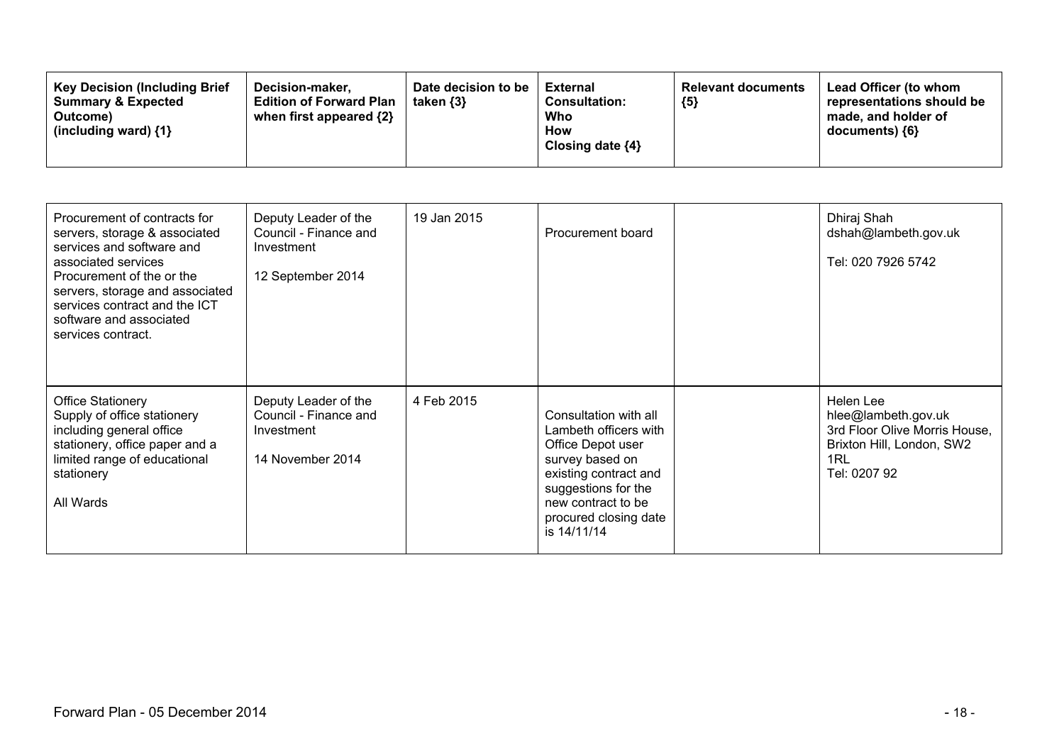| Procurement of contracts for<br>servers, storage & associated<br>services and software and<br>associated services<br>Procurement of the or the<br>servers, storage and associated<br>services contract and the ICT<br>software and associated<br>services contract. | Deputy Leader of the<br>Council - Finance and<br>Investment<br>12 September 2014 | 19 Jan 2015 | Procurement board                                                                                                                                                                                    | Dhiraj Shah<br>dshah@lambeth.gov.uk<br>Tel: 020 7926 5742                                                             |
|---------------------------------------------------------------------------------------------------------------------------------------------------------------------------------------------------------------------------------------------------------------------|----------------------------------------------------------------------------------|-------------|------------------------------------------------------------------------------------------------------------------------------------------------------------------------------------------------------|-----------------------------------------------------------------------------------------------------------------------|
| <b>Office Stationery</b><br>Supply of office stationery<br>including general office<br>stationery, office paper and a<br>limited range of educational<br>stationery<br>All Wards                                                                                    | Deputy Leader of the<br>Council - Finance and<br>Investment<br>14 November 2014  | 4 Feb 2015  | Consultation with all<br>Lambeth officers with<br>Office Depot user<br>survey based on<br>existing contract and<br>suggestions for the<br>new contract to be<br>procured closing date<br>is 14/11/14 | Helen Lee<br>hlee@lambeth.gov.uk<br>3rd Floor Olive Morris House,<br>Brixton Hill, London, SW2<br>1RL<br>Tel: 0207 92 |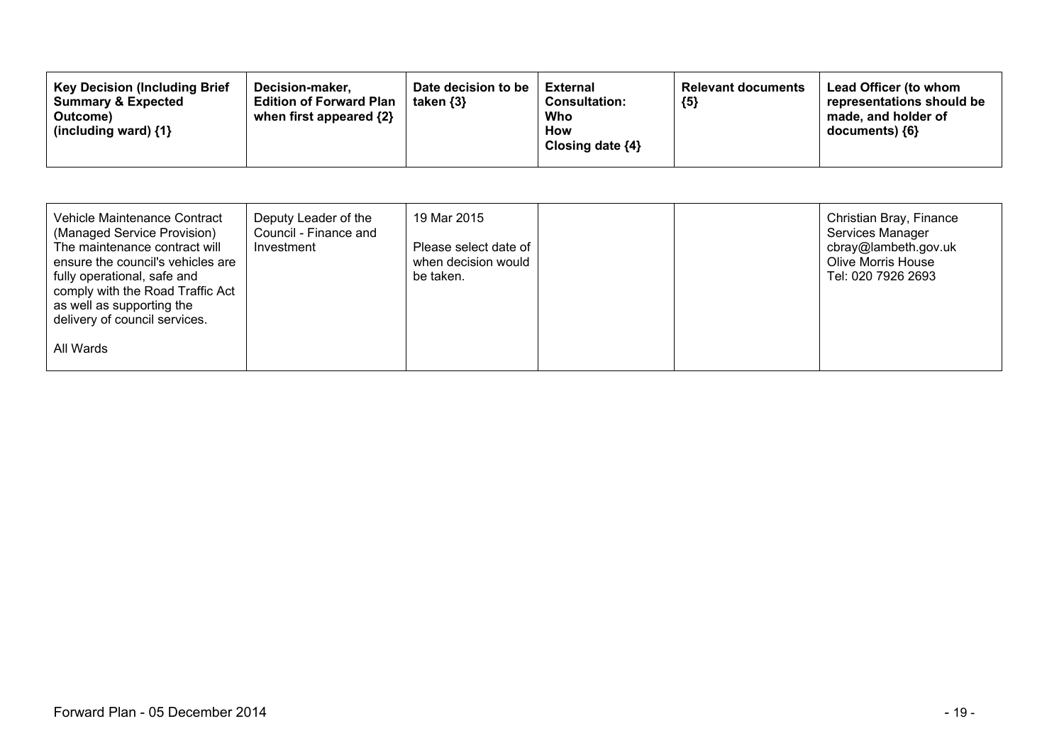| Vehicle Maintenance Contract<br>(Managed Service Provision)<br>The maintenance contract will<br>ensure the council's vehicles are<br>fully operational, safe and<br>comply with the Road Traffic Act<br>as well as supporting the<br>delivery of council services. | Deputy Leader of the<br>Council - Finance and<br>Investment | 19 Mar 2015<br>Please select date of<br>when decision would<br>be taken. |  | Christian Bray, Finance<br>Services Manager<br>cbray@lambeth.gov.uk<br><b>Olive Morris House</b><br>Tel: 020 7926 2693 |
|--------------------------------------------------------------------------------------------------------------------------------------------------------------------------------------------------------------------------------------------------------------------|-------------------------------------------------------------|--------------------------------------------------------------------------|--|------------------------------------------------------------------------------------------------------------------------|
| All Wards                                                                                                                                                                                                                                                          |                                                             |                                                                          |  |                                                                                                                        |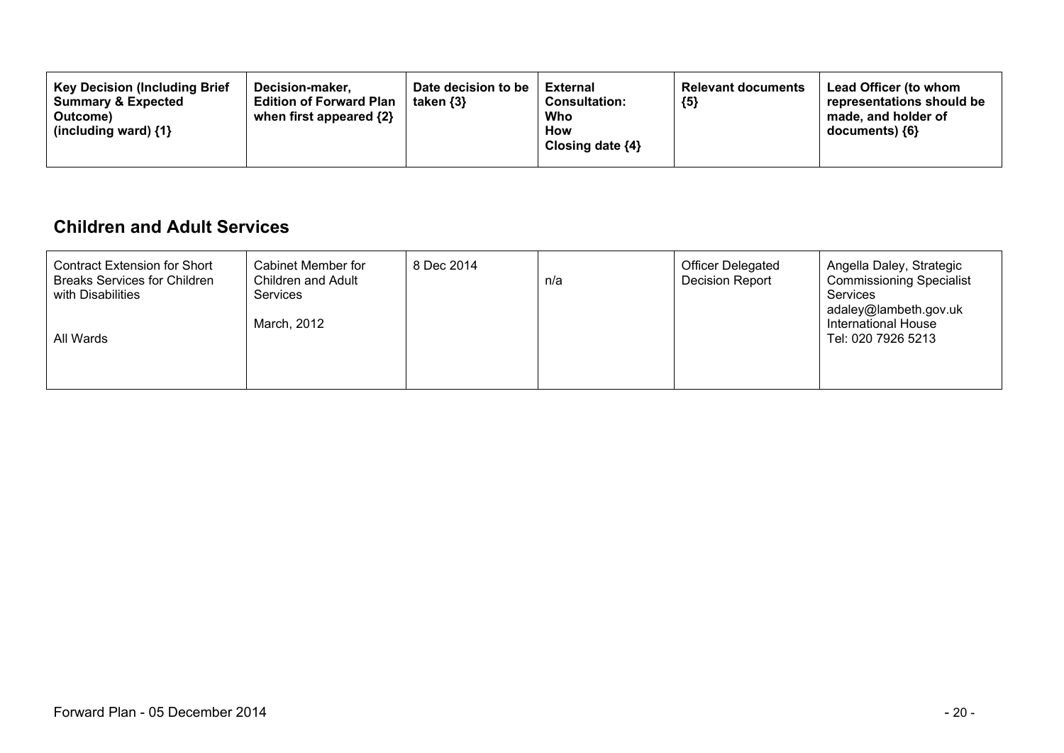| <b>Key Decision (Including Brief</b><br>Decision-maker.<br><b>Summary &amp; Expected</b><br><b>Edition of Forward Plan</b><br>when first appeared $\{2\}$<br>Outcome)<br>(including ward) $\{1\}$ | Date decision to be<br>taken $\{3\}$ | <b>External</b><br><b>Consultation:</b><br>Who<br>How<br>Closing date $\{4\}$ | <b>Relevant documents</b><br>${5}$ | Lead Officer (to whom<br>representations should be<br>made, and holder of<br>documents) {6} |
|---------------------------------------------------------------------------------------------------------------------------------------------------------------------------------------------------|--------------------------------------|-------------------------------------------------------------------------------|------------------------------------|---------------------------------------------------------------------------------------------|
|---------------------------------------------------------------------------------------------------------------------------------------------------------------------------------------------------|--------------------------------------|-------------------------------------------------------------------------------|------------------------------------|---------------------------------------------------------------------------------------------|

### **Children and Adult Services**

| <b>Contract Extension for Short</b><br><b>Breaks Services for Children</b><br>with Disabilities<br>All Wards | Cabinet Member for<br>Children and Adult<br><b>Services</b><br>March, 2012 | 8 Dec 2014 | n/a | <b>Officer Delegated</b><br>Decision Report | Angella Daley, Strategic<br><b>Commissioning Specialist</b><br>Services<br>adaley@lambeth.gov.uk<br>International House<br>Tel: 020 7926 5213 |
|--------------------------------------------------------------------------------------------------------------|----------------------------------------------------------------------------|------------|-----|---------------------------------------------|-----------------------------------------------------------------------------------------------------------------------------------------------|
|                                                                                                              |                                                                            |            |     |                                             |                                                                                                                                               |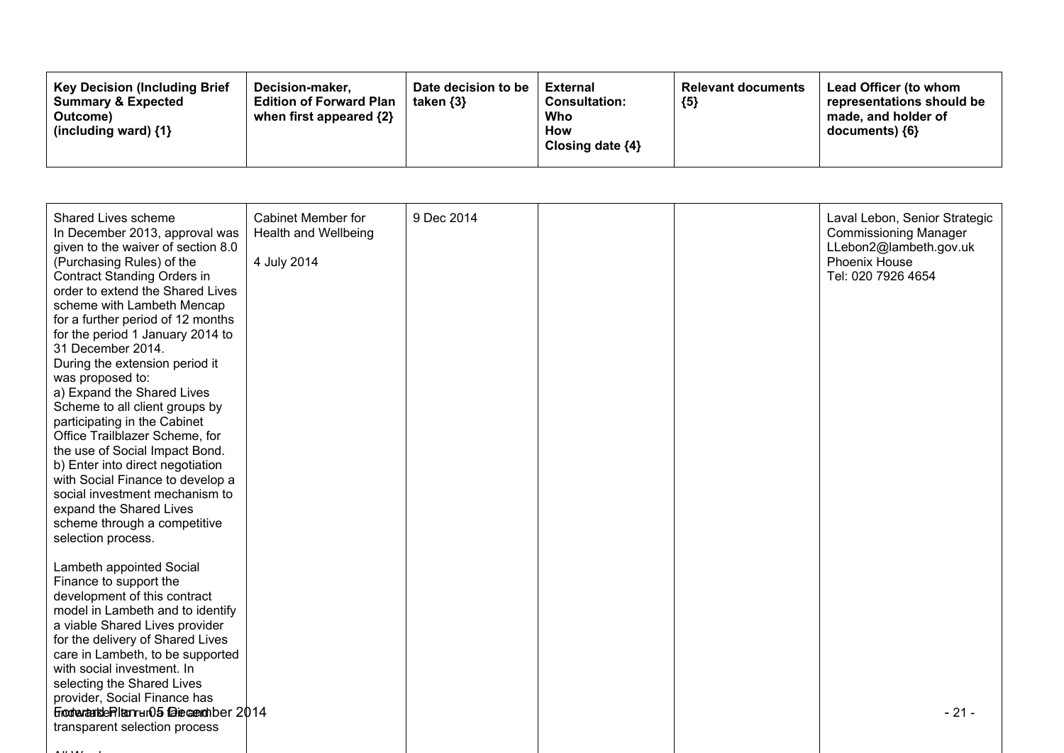| <b>Key Decision (Including Brief</b><br>Decision-maker.<br><b>Summary &amp; Expected</b><br>Outcome)<br>(including ward) $\{1\}$ | Date decision to be<br><b>Edition of Forward Plan</b><br>taken $\{3\}$<br>when first appeared {2} | <b>External</b><br><b>Consultation:</b><br>Who<br>How<br>Closing date $\{4\}$ | <b>Relevant documents</b><br>${5}$ | <b>Lead Officer (to whom</b><br>representations should be<br>made, and holder of<br>documents) ${6}$ |
|----------------------------------------------------------------------------------------------------------------------------------|---------------------------------------------------------------------------------------------------|-------------------------------------------------------------------------------|------------------------------------|------------------------------------------------------------------------------------------------------|
|----------------------------------------------------------------------------------------------------------------------------------|---------------------------------------------------------------------------------------------------|-------------------------------------------------------------------------------|------------------------------------|------------------------------------------------------------------------------------------------------|

| Shared Lives scheme<br>In December 2013, approval was<br>given to the waiver of section 8.0<br>(Purchasing Rules) of the<br>Contract Standing Orders in<br>order to extend the Shared Lives<br>scheme with Lambeth Mencap<br>for a further period of 12 months<br>for the period 1 January 2014 to<br>31 December 2014.<br>During the extension period it<br>was proposed to:<br>a) Expand the Shared Lives<br>Scheme to all client groups by<br>participating in the Cabinet<br>Office Trailblazer Scheme, for<br>the use of Social Impact Bond.<br>b) Enter into direct negotiation<br>with Social Finance to develop a<br>social investment mechanism to<br>expand the Shared Lives<br>scheme through a competitive<br>selection process. | <b>Cabinet Member for</b><br>Health and Wellbeing<br>4 July 2014 | 9 Dec 2014 |  | Laval Lebon, Senior Strategic<br><b>Commissioning Manager</b><br>LLebon2@lambeth.gov.uk<br><b>Phoenix House</b><br>Tel: 020 7926 4654 |
|----------------------------------------------------------------------------------------------------------------------------------------------------------------------------------------------------------------------------------------------------------------------------------------------------------------------------------------------------------------------------------------------------------------------------------------------------------------------------------------------------------------------------------------------------------------------------------------------------------------------------------------------------------------------------------------------------------------------------------------------|------------------------------------------------------------------|------------|--|---------------------------------------------------------------------------------------------------------------------------------------|
| Lambeth appointed Social<br>Finance to support the<br>development of this contract<br>model in Lambeth and to identify<br>a viable Shared Lives provider<br>for the delivery of Shared Lives<br>care in Lambeth, to be supported<br>with social investment. In<br>selecting the Shared Lives<br>provider, Social Finance has<br>FrootextankleRitanrur05 faiecenchber 2014<br>transparent selection process                                                                                                                                                                                                                                                                                                                                   |                                                                  |            |  | $-21-$                                                                                                                                |
|                                                                                                                                                                                                                                                                                                                                                                                                                                                                                                                                                                                                                                                                                                                                              |                                                                  |            |  |                                                                                                                                       |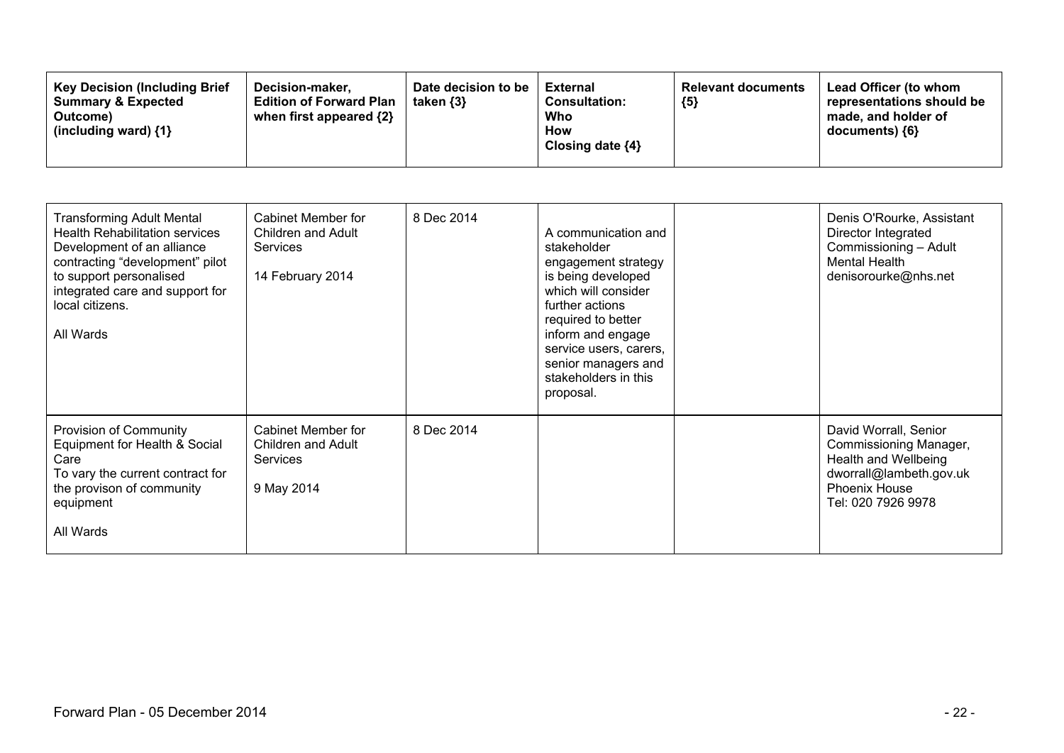| <b>Transforming Adult Mental</b><br><b>Health Rehabilitation services</b><br>Development of an alliance<br>contracting "development" pilot<br>to support personalised<br>integrated care and support for<br>local citizens.<br>All Wards | <b>Cabinet Member for</b><br>Children and Adult<br><b>Services</b><br>14 February 2014 | 8 Dec 2014 | A communication and<br>stakeholder<br>engagement strategy<br>is being developed<br>which will consider<br>further actions<br>required to better<br>inform and engage<br>service users, carers,<br>senior managers and<br>stakeholders in this<br>proposal. | Denis O'Rourke, Assistant<br>Director Integrated<br>Commissioning - Adult<br><b>Mental Health</b><br>denisorourke@nhs.net                        |
|------------------------------------------------------------------------------------------------------------------------------------------------------------------------------------------------------------------------------------------|----------------------------------------------------------------------------------------|------------|------------------------------------------------------------------------------------------------------------------------------------------------------------------------------------------------------------------------------------------------------------|--------------------------------------------------------------------------------------------------------------------------------------------------|
| Provision of Community<br>Equipment for Health & Social<br>Care<br>To vary the current contract for<br>the provison of community<br>equipment<br>All Wards                                                                               | <b>Cabinet Member for</b><br>Children and Adult<br><b>Services</b><br>9 May 2014       | 8 Dec 2014 |                                                                                                                                                                                                                                                            | David Worrall, Senior<br>Commissioning Manager,<br>Health and Wellbeing<br>dworrall@lambeth.gov.uk<br><b>Phoenix House</b><br>Tel: 020 7926 9978 |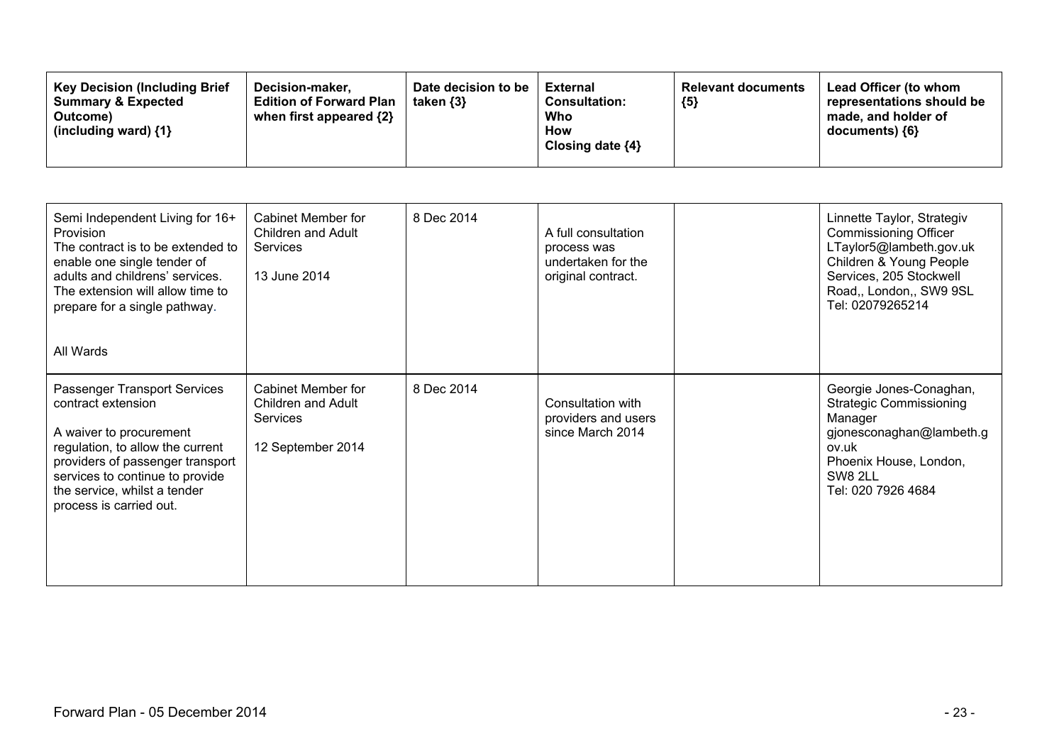| <b>Key Decision (Including Brief)</b><br>Decision-maker.<br><b>Edition of Forward Plan</b><br><b>Summary &amp; Expected</b><br>when first appeared {2}<br>Outcome)<br>(including ward) {1} | Date decision to be<br>taken $\{3\}$ | <b>External</b><br><b>Consultation:</b><br>Who<br>How<br>Closing date $\{4\}$ | <b>Relevant documents</b><br>${5}$ | Lead Officer (to whom<br>representations should be<br>made, and holder of<br>$documents)$ {6} |
|--------------------------------------------------------------------------------------------------------------------------------------------------------------------------------------------|--------------------------------------|-------------------------------------------------------------------------------|------------------------------------|-----------------------------------------------------------------------------------------------|
|--------------------------------------------------------------------------------------------------------------------------------------------------------------------------------------------|--------------------------------------|-------------------------------------------------------------------------------|------------------------------------|-----------------------------------------------------------------------------------------------|

| Semi Independent Living for 16+<br><b>Provision</b><br>The contract is to be extended to<br>enable one single tender of<br>adults and childrens' services.<br>The extension will allow time to<br>prepare for a single pathway.<br>All Wards        | <b>Cabinet Member for</b><br>Children and Adult<br>Services<br>13 June 2014             | 8 Dec 2014 | A full consultation<br>process was<br>undertaken for the<br>original contract. | Linnette Taylor, Strategiv<br><b>Commissioning Officer</b><br>LTaylor5@lambeth.gov.uk<br>Children & Young People<br>Services, 205 Stockwell<br>Road,, London,, SW9 9SL<br>Tel: 02079265214 |
|-----------------------------------------------------------------------------------------------------------------------------------------------------------------------------------------------------------------------------------------------------|-----------------------------------------------------------------------------------------|------------|--------------------------------------------------------------------------------|--------------------------------------------------------------------------------------------------------------------------------------------------------------------------------------------|
| Passenger Transport Services<br>contract extension<br>A waiver to procurement<br>regulation, to allow the current<br>providers of passenger transport<br>services to continue to provide<br>the service, whilst a tender<br>process is carried out. | <b>Cabinet Member for</b><br>Children and Adult<br><b>Services</b><br>12 September 2014 | 8 Dec 2014 | Consultation with<br>providers and users<br>since March 2014                   | Georgie Jones-Conaghan,<br><b>Strategic Commissioning</b><br>Manager<br>gjonesconaghan@lambeth.g<br>ov.uk<br>Phoenix House, London,<br>SW8 2LL<br>Tel: 020 7926 4684                       |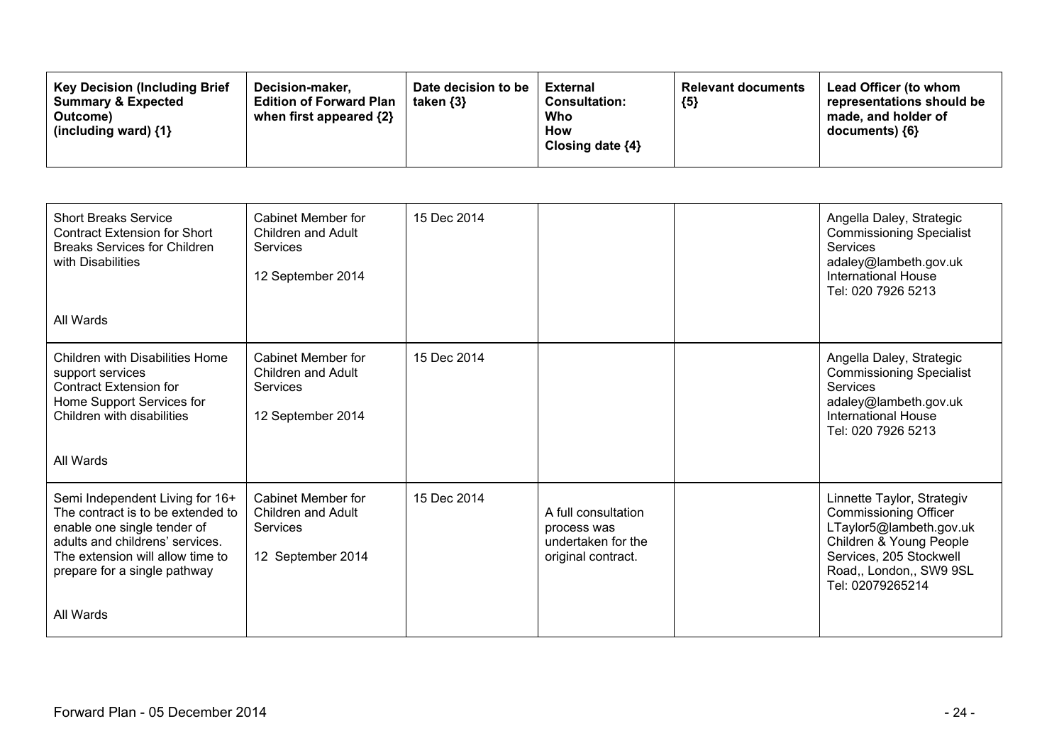| <b>Short Breaks Service</b><br><b>Contract Extension for Short</b><br><b>Breaks Services for Children</b><br>with Disabilities<br>All Wards                                                                             | Cabinet Member for<br>Children and Adult<br>Services<br>12 September 2014        | 15 Dec 2014 |                                                                                | Angella Daley, Strategic<br><b>Commissioning Specialist</b><br><b>Services</b><br>adaley@lambeth.gov.uk<br><b>International House</b><br>Tel: 020 7926 5213                                |
|-------------------------------------------------------------------------------------------------------------------------------------------------------------------------------------------------------------------------|----------------------------------------------------------------------------------|-------------|--------------------------------------------------------------------------------|--------------------------------------------------------------------------------------------------------------------------------------------------------------------------------------------|
| <b>Children with Disabilities Home</b><br>support services<br><b>Contract Extension for</b><br>Home Support Services for<br>Children with disabilities<br>All Wards                                                     | Cabinet Member for<br>Children and Adult<br><b>Services</b><br>12 September 2014 | 15 Dec 2014 |                                                                                | Angella Daley, Strategic<br><b>Commissioning Specialist</b><br><b>Services</b><br>adaley@lambeth.gov.uk<br><b>International House</b><br>Tel: 020 7926 5213                                |
| Semi Independent Living for 16+<br>The contract is to be extended to<br>enable one single tender of<br>adults and childrens' services.<br>The extension will allow time to<br>prepare for a single pathway<br>All Wards | Cabinet Member for<br>Children and Adult<br>Services<br>12 September 2014        | 15 Dec 2014 | A full consultation<br>process was<br>undertaken for the<br>original contract. | Linnette Taylor, Strategiv<br><b>Commissioning Officer</b><br>LTaylor5@lambeth.gov.uk<br>Children & Young People<br>Services, 205 Stockwell<br>Road,, London,, SW9 9SL<br>Tel: 02079265214 |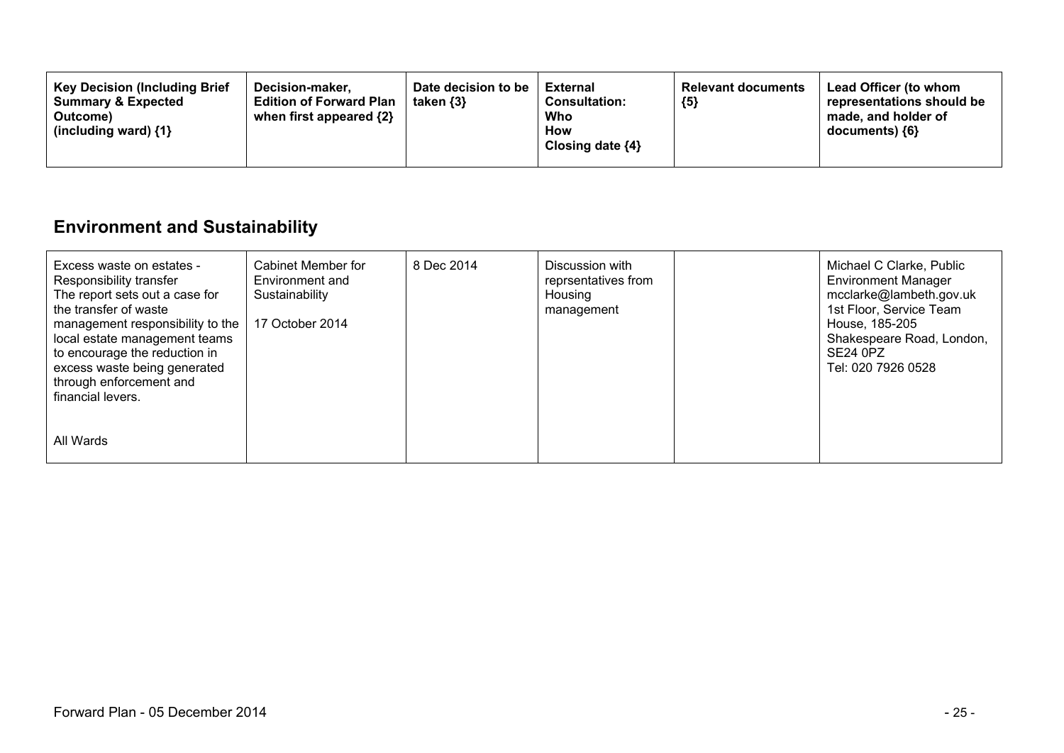| <b>Key Decision (Including Brief</b><br>Decision-maker.<br><b>Summary &amp; Expected</b><br><b>Edition of Forward Plan</b><br>taken $\{3\}$<br>when first appeared $\{2\}$<br>Outcome)<br>(including ward) $\{1\}$ | Date decision to be<br>External<br><b>Consultation:</b><br>Who<br>How<br>Closing date $\{4\}$ | <b>Relevant documents</b><br>${5}$ | Lead Officer (to whom<br>representations should be<br>made, and holder of<br>$documents)$ {6} |
|--------------------------------------------------------------------------------------------------------------------------------------------------------------------------------------------------------------------|-----------------------------------------------------------------------------------------------|------------------------------------|-----------------------------------------------------------------------------------------------|
|--------------------------------------------------------------------------------------------------------------------------------------------------------------------------------------------------------------------|-----------------------------------------------------------------------------------------------|------------------------------------|-----------------------------------------------------------------------------------------------|

## **Environment and Sustainability**

| Excess waste on estates -<br>Responsibility transfer<br>The report sets out a case for<br>the transfer of waste<br>management responsibility to the<br>local estate management teams<br>to encourage the reduction in<br>excess waste being generated<br>through enforcement and<br>financial levers. | Cabinet Member for<br>Environment and<br>Sustainability<br>17 October 2014 | 8 Dec 2014 | Discussion with<br>reprsentatives from<br>Housing<br>management | Michael C Clarke, Public<br><b>Environment Manager</b><br>mcclarke@lambeth.gov.uk<br>1st Floor, Service Team<br>House, 185-205<br>Shakespeare Road, London,<br>SE24 0PZ<br>Tel: 020 7926 0528 |
|-------------------------------------------------------------------------------------------------------------------------------------------------------------------------------------------------------------------------------------------------------------------------------------------------------|----------------------------------------------------------------------------|------------|-----------------------------------------------------------------|-----------------------------------------------------------------------------------------------------------------------------------------------------------------------------------------------|
| All Wards                                                                                                                                                                                                                                                                                             |                                                                            |            |                                                                 |                                                                                                                                                                                               |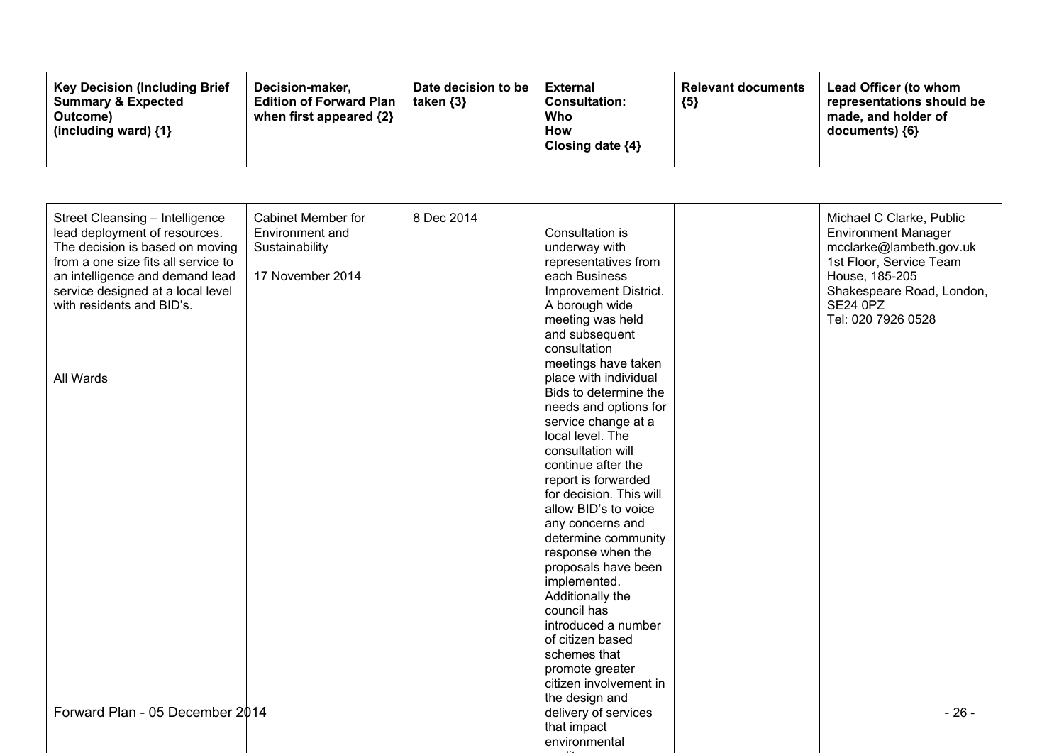| <b>Key Decision (Including Brief)</b><br><b>Summary &amp; Expected</b><br>Outcome)<br>(including ward) $\{1\}$ | Decision-maker,<br><b>Edition of Forward Plan</b><br>when first appeared {2} | Date decision to be<br>taken $\{3\}$ | External<br><b>Consultation:</b><br>Who<br><b>How</b><br>Closing date ${4}$ | <b>Relevant documents</b><br>${5}$ | Lead Officer (to whom<br>representations should be<br>made, and holder of<br>$documents)$ {6} |
|----------------------------------------------------------------------------------------------------------------|------------------------------------------------------------------------------|--------------------------------------|-----------------------------------------------------------------------------|------------------------------------|-----------------------------------------------------------------------------------------------|
|----------------------------------------------------------------------------------------------------------------|------------------------------------------------------------------------------|--------------------------------------|-----------------------------------------------------------------------------|------------------------------------|-----------------------------------------------------------------------------------------------|

| Street Cleansing - Intelligence<br>lead deployment of resources.<br>The decision is based on moving<br>from a one size fits all service to<br>an intelligence and demand lead<br>service designed at a local level<br>with residents and BID's. | <b>Cabinet Member for</b><br>Environment and<br>Sustainability<br>17 November 2014 | 8 Dec 2014 | Consultation is<br>underway with<br>representatives from<br>each Business<br>Improvement District.<br>A borough wide<br>meeting was held<br>and subsequent                                                                                                                                                                                                                                                                                                                          | Michael C Clarke, Public<br><b>Environment Manager</b><br>mcclarke@lambeth.gov.uk<br>1st Floor, Service Team<br>House, 185-205<br>Shakespeare Road, London,<br><b>SE24 0PZ</b><br>Tel: 020 7926 0528 |
|-------------------------------------------------------------------------------------------------------------------------------------------------------------------------------------------------------------------------------------------------|------------------------------------------------------------------------------------|------------|-------------------------------------------------------------------------------------------------------------------------------------------------------------------------------------------------------------------------------------------------------------------------------------------------------------------------------------------------------------------------------------------------------------------------------------------------------------------------------------|------------------------------------------------------------------------------------------------------------------------------------------------------------------------------------------------------|
| All Wards                                                                                                                                                                                                                                       |                                                                                    |            | consultation<br>meetings have taken<br>place with individual<br>Bids to determine the<br>needs and options for<br>service change at a<br>local level. The<br>consultation will<br>continue after the<br>report is forwarded<br>for decision. This will<br>allow BID's to voice<br>any concerns and<br>determine community<br>response when the<br>proposals have been<br>implemented.<br>Additionally the<br>council has<br>introduced a number<br>of citizen based<br>schemes that |                                                                                                                                                                                                      |
| Forward Plan - 05 December 2014                                                                                                                                                                                                                 |                                                                                    |            | promote greater<br>citizen involvement in<br>the design and<br>delivery of services<br>that impact<br>environmental                                                                                                                                                                                                                                                                                                                                                                 | $-26-$                                                                                                                                                                                               |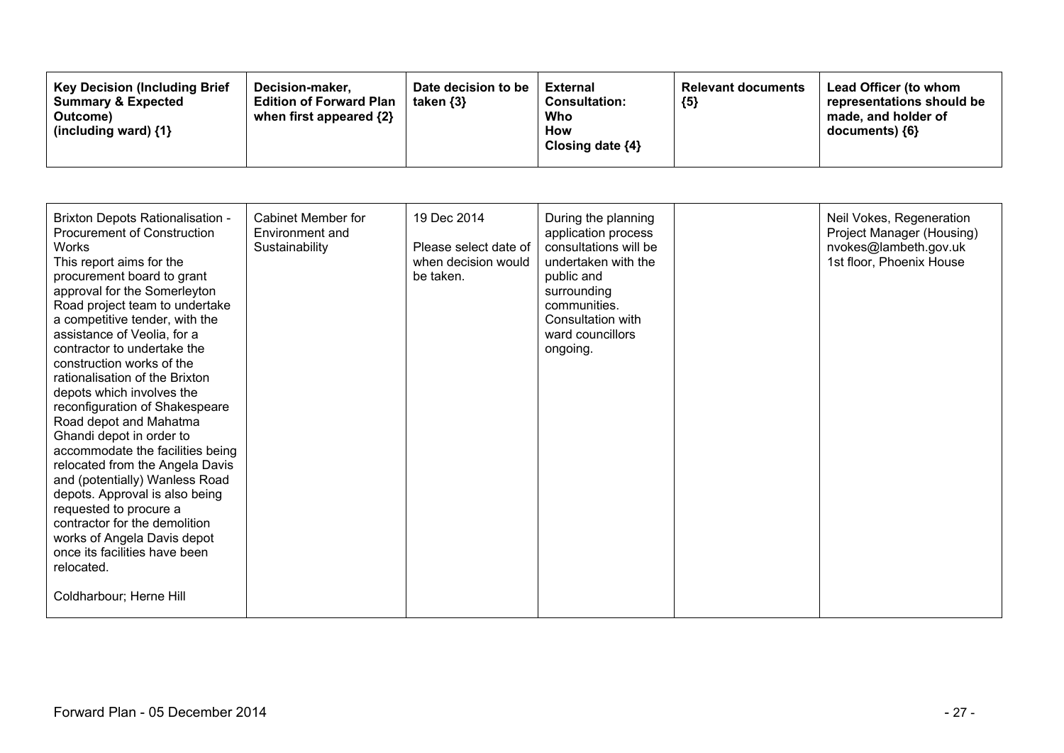| <b>Key Decision (Including Brief</b><br><b>Summary &amp; Expected</b><br>Outcome)<br>(including ward) $\{1\}$ | Decision-maker,<br><b>Edition of Forward Plan</b><br>when first appeared {2} | Date decision to be<br>taken $\{3\}$ | External<br><b>Consultation:</b><br>Who<br>How<br>Closing date ${4}$ | <b>Relevant documents</b><br>${5}$ | Lead Officer (to whom<br>representations should be<br>made, and holder of<br>documents) ${6}$ |
|---------------------------------------------------------------------------------------------------------------|------------------------------------------------------------------------------|--------------------------------------|----------------------------------------------------------------------|------------------------------------|-----------------------------------------------------------------------------------------------|
|---------------------------------------------------------------------------------------------------------------|------------------------------------------------------------------------------|--------------------------------------|----------------------------------------------------------------------|------------------------------------|-----------------------------------------------------------------------------------------------|

| <b>Brixton Depots Rationalisation -</b><br><b>Procurement of Construction</b><br><b>Works</b><br>This report aims for the<br>procurement board to grant<br>approval for the Somerleyton<br>Road project team to undertake<br>a competitive tender, with the<br>assistance of Veolia, for a<br>contractor to undertake the<br>construction works of the<br>rationalisation of the Brixton<br>depots which involves the<br>reconfiguration of Shakespeare<br>Road depot and Mahatma<br>Ghandi depot in order to<br>accommodate the facilities being<br>relocated from the Angela Davis<br>and (potentially) Wanless Road<br>depots. Approval is also being<br>requested to procure a<br>contractor for the demolition<br>works of Angela Davis depot<br>once its facilities have been<br>relocated.<br>Coldharbour; Herne Hill | Cabinet Member for<br>Environment and<br>Sustainability | 19 Dec 2014<br>Please select date of<br>when decision would<br>be taken. | During the planning<br>application process<br>consultations will be<br>undertaken with the<br>public and<br>surrounding<br>communities.<br>Consultation with<br>ward councillors<br>ongoing. | Neil Vokes, Regeneration<br>Project Manager (Housing)<br>nvokes@lambeth.gov.uk<br>1st floor, Phoenix House |
|------------------------------------------------------------------------------------------------------------------------------------------------------------------------------------------------------------------------------------------------------------------------------------------------------------------------------------------------------------------------------------------------------------------------------------------------------------------------------------------------------------------------------------------------------------------------------------------------------------------------------------------------------------------------------------------------------------------------------------------------------------------------------------------------------------------------------|---------------------------------------------------------|--------------------------------------------------------------------------|----------------------------------------------------------------------------------------------------------------------------------------------------------------------------------------------|------------------------------------------------------------------------------------------------------------|
|                                                                                                                                                                                                                                                                                                                                                                                                                                                                                                                                                                                                                                                                                                                                                                                                                              |                                                         |                                                                          |                                                                                                                                                                                              |                                                                                                            |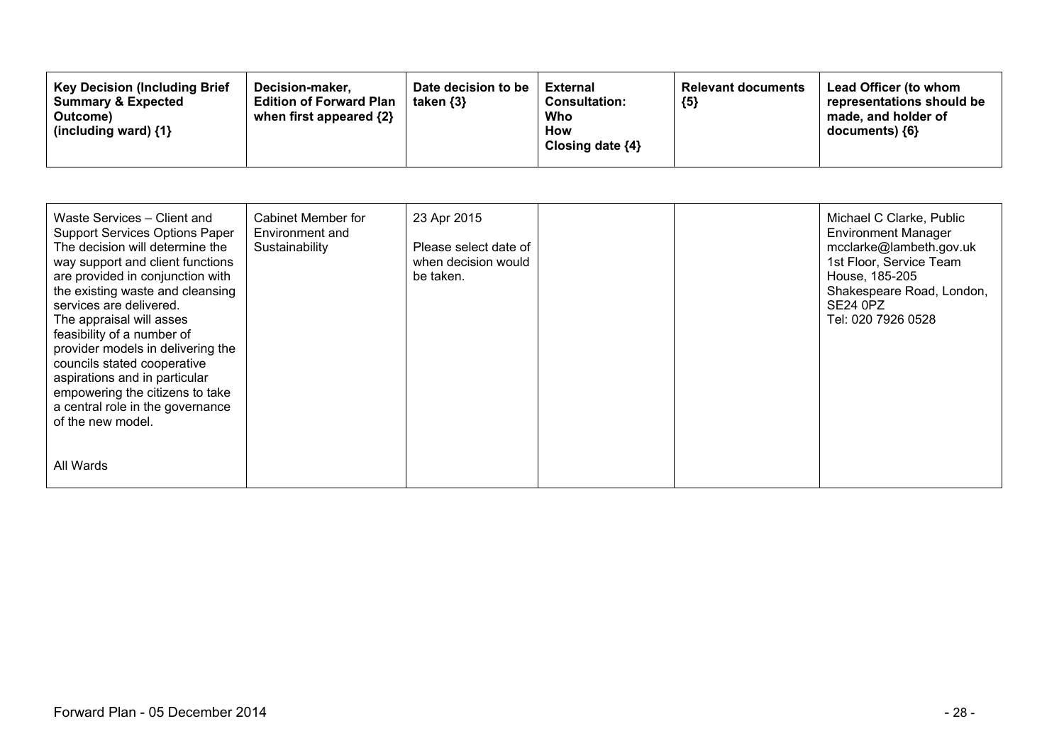| Waste Services - Client and<br><b>Support Services Options Paper</b><br>The decision will determine the<br>way support and client functions<br>are provided in conjunction with<br>the existing waste and cleansing<br>services are delivered.<br>The appraisal will asses<br>feasibility of a number of<br>provider models in delivering the<br>councils stated cooperative<br>aspirations and in particular<br>empowering the citizens to take<br>a central role in the governance<br>of the new model. | Cabinet Member for<br>Environment and<br>Sustainability | 23 Apr 2015<br>Please select date of<br>when decision would<br>be taken. |  | Michael C Clarke, Public<br><b>Environment Manager</b><br>mcclarke@lambeth.gov.uk<br>1st Floor, Service Team<br>House, 185-205<br>Shakespeare Road, London,<br><b>SE24 0PZ</b><br>Tel: 020 7926 0528 |
|-----------------------------------------------------------------------------------------------------------------------------------------------------------------------------------------------------------------------------------------------------------------------------------------------------------------------------------------------------------------------------------------------------------------------------------------------------------------------------------------------------------|---------------------------------------------------------|--------------------------------------------------------------------------|--|------------------------------------------------------------------------------------------------------------------------------------------------------------------------------------------------------|
| All Wards                                                                                                                                                                                                                                                                                                                                                                                                                                                                                                 |                                                         |                                                                          |  |                                                                                                                                                                                                      |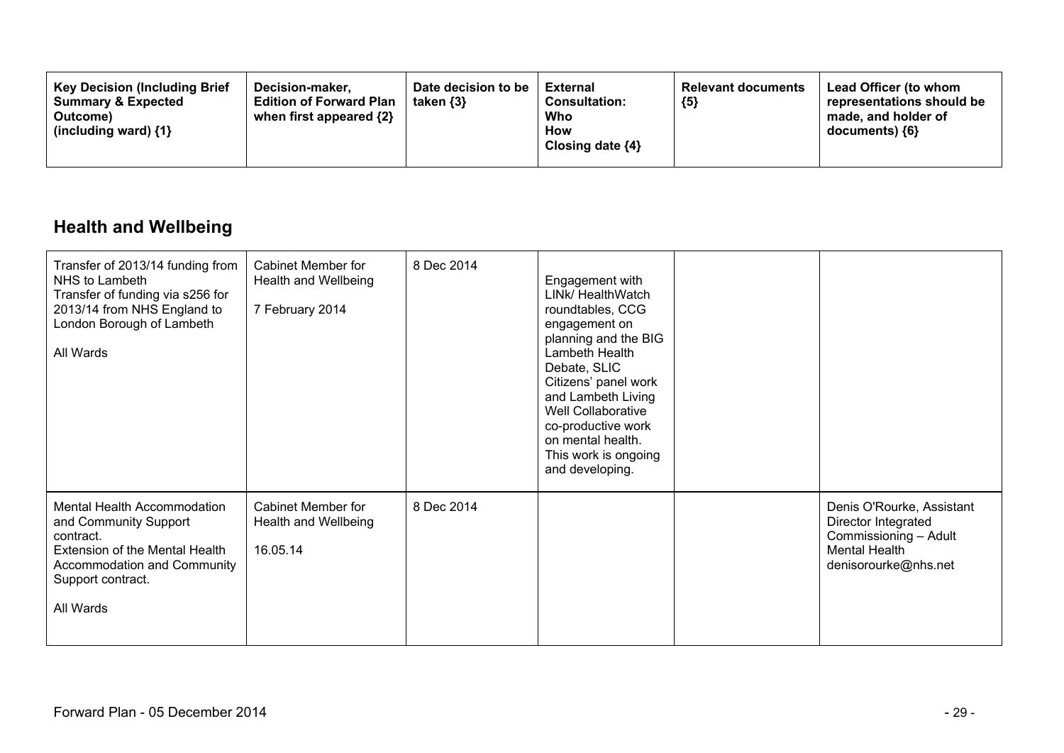| <b>Key Decision (Including Brief</b><br>Decision-maker.<br><b>Summary &amp; Expected</b><br>Outcome)<br>(including ward) $\{1\}$ | Date decision to be<br>taken $\{3\}$<br><b>Edition of Forward Plan</b><br>when first appeared {2} | External<br><b>Consultation:</b><br>Who<br>How<br>Closing date $\{4\}$ | <b>Relevant documents</b><br>${5}$ | <b>Lead Officer (to whom</b><br>representations should be<br>made, and holder of<br>$documents)$ {6} |
|----------------------------------------------------------------------------------------------------------------------------------|---------------------------------------------------------------------------------------------------|------------------------------------------------------------------------|------------------------------------|------------------------------------------------------------------------------------------------------|
|----------------------------------------------------------------------------------------------------------------------------------|---------------------------------------------------------------------------------------------------|------------------------------------------------------------------------|------------------------------------|------------------------------------------------------------------------------------------------------|

## **Health and Wellbeing**

| Transfer of 2013/14 funding from<br>NHS to Lambeth<br>Transfer of funding via s256 for<br>2013/14 from NHS England to<br>London Borough of Lambeth<br>All Wards      | <b>Cabinet Member for</b><br>Health and Wellbeing<br>7 February 2014 | 8 Dec 2014 | Engagement with<br>LINK/ HealthWatch<br>roundtables, CCG<br>engagement on<br>planning and the BIG<br>Lambeth Health<br>Debate, SLIC<br>Citizens' panel work<br>and Lambeth Living<br>Well Collaborative<br>co-productive work<br>on mental health.<br>This work is ongoing<br>and developing. |                                                                                                                           |
|----------------------------------------------------------------------------------------------------------------------------------------------------------------------|----------------------------------------------------------------------|------------|-----------------------------------------------------------------------------------------------------------------------------------------------------------------------------------------------------------------------------------------------------------------------------------------------|---------------------------------------------------------------------------------------------------------------------------|
| Mental Health Accommodation<br>and Community Support<br>contract.<br>Extension of the Mental Health<br>Accommodation and Community<br>Support contract.<br>All Wards | <b>Cabinet Member for</b><br>Health and Wellbeing<br>16.05.14        | 8 Dec 2014 |                                                                                                                                                                                                                                                                                               | Denis O'Rourke, Assistant<br>Director Integrated<br>Commissioning - Adult<br><b>Mental Health</b><br>denisorourke@nhs.net |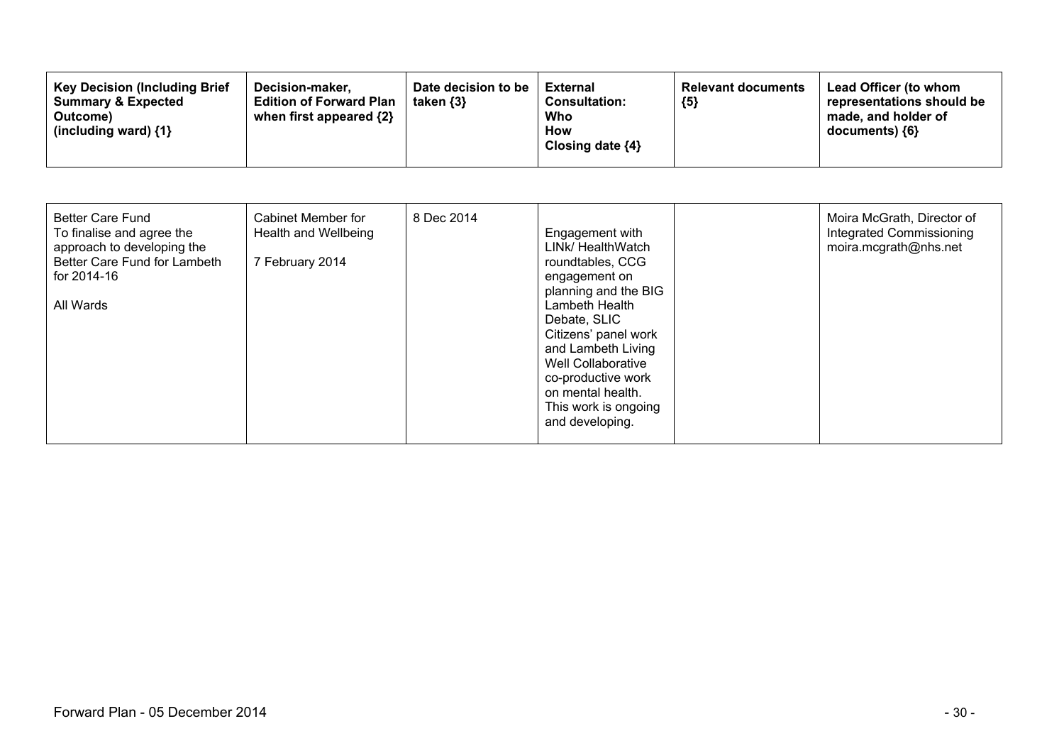| <b>Key Decision (Including Brief)</b><br>Decision-maker.<br><b>Summary &amp; Expected</b><br><b>Edition of Forward Plan</b><br>when first appeared {2}<br>Outcome)<br>(including ward) $\{1\}$ | Date decision to be<br><b>External</b><br><b>Consultation:</b><br>Who<br>How<br>Closing date $\{4\}$ | taken {3} | <b>Relevant documents</b><br>${5}$ | Lead Officer (to whom<br>representations should be<br>made, and holder of<br>$documents)$ {6} |
|------------------------------------------------------------------------------------------------------------------------------------------------------------------------------------------------|------------------------------------------------------------------------------------------------------|-----------|------------------------------------|-----------------------------------------------------------------------------------------------|
|------------------------------------------------------------------------------------------------------------------------------------------------------------------------------------------------|------------------------------------------------------------------------------------------------------|-----------|------------------------------------|-----------------------------------------------------------------------------------------------|

| <b>Better Care Fund</b><br>To finalise and agree the<br>approach to developing the<br>Better Care Fund for Lambeth<br>for 2014-16<br>All Wards | Cabinet Member for<br>Health and Wellbeing<br>7 February 2014 | 8 Dec 2014 | Engagement with<br>LINK/ HealthWatch<br>roundtables, CCG<br>engagement on<br>planning and the BIG<br>Lambeth Health<br>Debate, SLIC<br>Citizens' panel work<br>and Lambeth Living<br>Well Collaborative<br>co-productive work<br>on mental health.<br>This work is ongoing<br>and developing. |  | Moira McGrath, Director of<br>Integrated Commissioning<br>moira.mcgrath@nhs.net |
|------------------------------------------------------------------------------------------------------------------------------------------------|---------------------------------------------------------------|------------|-----------------------------------------------------------------------------------------------------------------------------------------------------------------------------------------------------------------------------------------------------------------------------------------------|--|---------------------------------------------------------------------------------|
|------------------------------------------------------------------------------------------------------------------------------------------------|---------------------------------------------------------------|------------|-----------------------------------------------------------------------------------------------------------------------------------------------------------------------------------------------------------------------------------------------------------------------------------------------|--|---------------------------------------------------------------------------------|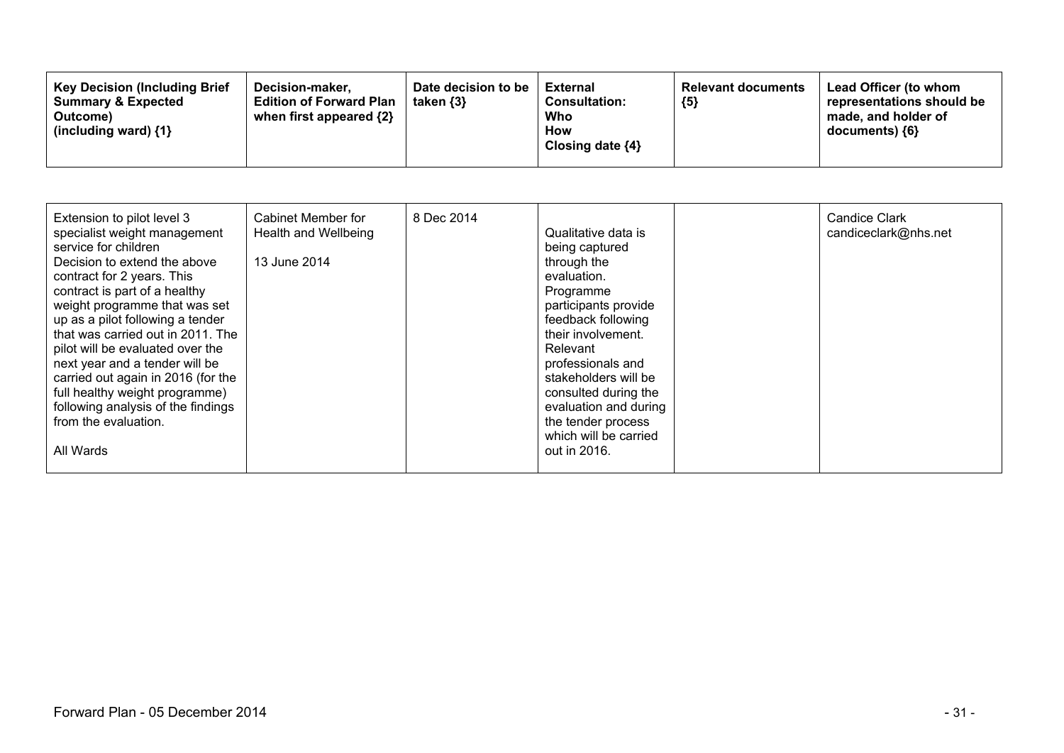| Extension to pilot level 3<br>specialist weight management<br>service for children<br>Decision to extend the above<br>contract for 2 years. This<br>contract is part of a healthy<br>weight programme that was set<br>up as a pilot following a tender<br>that was carried out in 2011. The<br>pilot will be evaluated over the<br>next year and a tender will be<br>carried out again in 2016 (for the<br>full healthy weight programme)<br>following analysis of the findings<br>from the evaluation.<br>All Wards | Cabinet Member for<br>Health and Wellbeing<br>13 June 2014 | 8 Dec 2014 | Qualitative data is<br>being captured<br>through the<br>evaluation.<br>Programme<br>participants provide<br>feedback following<br>their involvement.<br>Relevant<br>professionals and<br>stakeholders will be<br>consulted during the<br>evaluation and during<br>the tender process<br>which will be carried<br>out in 2016. |  | <b>Candice Clark</b><br>candiceclark@nhs.net |
|----------------------------------------------------------------------------------------------------------------------------------------------------------------------------------------------------------------------------------------------------------------------------------------------------------------------------------------------------------------------------------------------------------------------------------------------------------------------------------------------------------------------|------------------------------------------------------------|------------|-------------------------------------------------------------------------------------------------------------------------------------------------------------------------------------------------------------------------------------------------------------------------------------------------------------------------------|--|----------------------------------------------|
|----------------------------------------------------------------------------------------------------------------------------------------------------------------------------------------------------------------------------------------------------------------------------------------------------------------------------------------------------------------------------------------------------------------------------------------------------------------------------------------------------------------------|------------------------------------------------------------|------------|-------------------------------------------------------------------------------------------------------------------------------------------------------------------------------------------------------------------------------------------------------------------------------------------------------------------------------|--|----------------------------------------------|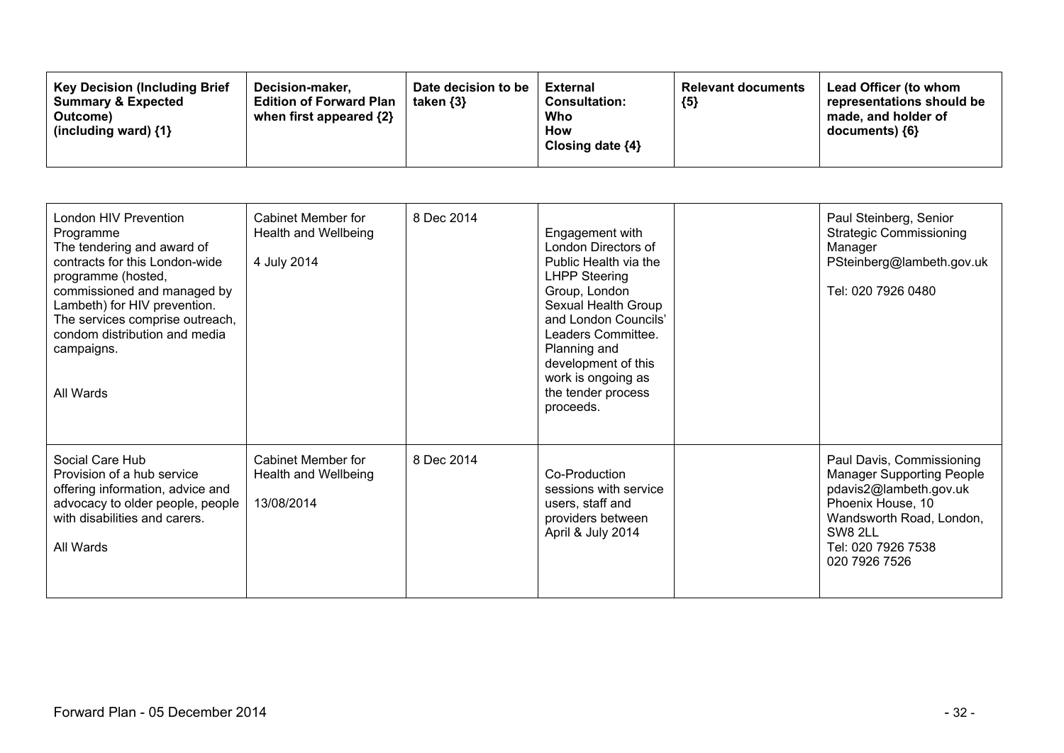| London HIV Prevention<br>Programme<br>The tendering and award of<br>contracts for this London-wide<br>programme (hosted,<br>commissioned and managed by<br>Lambeth) for HIV prevention.<br>The services comprise outreach,<br>condom distribution and media<br>campaigns.<br>All Wards | <b>Cabinet Member for</b><br>Health and Wellbeing<br>4 July 2014 | 8 Dec 2014 | Engagement with<br>London Directors of<br>Public Health via the<br><b>LHPP Steering</b><br>Group, London<br>Sexual Health Group<br>and London Councils'<br>Leaders Committee.<br>Planning and<br>development of this<br>work is ongoing as<br>the tender process<br>proceeds. | Paul Steinberg, Senior<br><b>Strategic Commissioning</b><br>Manager<br>PSteinberg@lambeth.gov.uk<br>Tel: 020 7926 0480                                                                     |
|----------------------------------------------------------------------------------------------------------------------------------------------------------------------------------------------------------------------------------------------------------------------------------------|------------------------------------------------------------------|------------|-------------------------------------------------------------------------------------------------------------------------------------------------------------------------------------------------------------------------------------------------------------------------------|--------------------------------------------------------------------------------------------------------------------------------------------------------------------------------------------|
| Social Care Hub<br>Provision of a hub service<br>offering information, advice and<br>advocacy to older people, people<br>with disabilities and carers.<br>All Wards                                                                                                                    | <b>Cabinet Member for</b><br>Health and Wellbeing<br>13/08/2014  | 8 Dec 2014 | Co-Production<br>sessions with service<br>users, staff and<br>providers between<br>April & July 2014                                                                                                                                                                          | Paul Davis, Commissioning<br><b>Manager Supporting People</b><br>pdavis2@lambeth.gov.uk<br>Phoenix House, 10<br>Wandsworth Road, London,<br>SW8 2LL<br>Tel: 020 7926 7538<br>020 7926 7526 |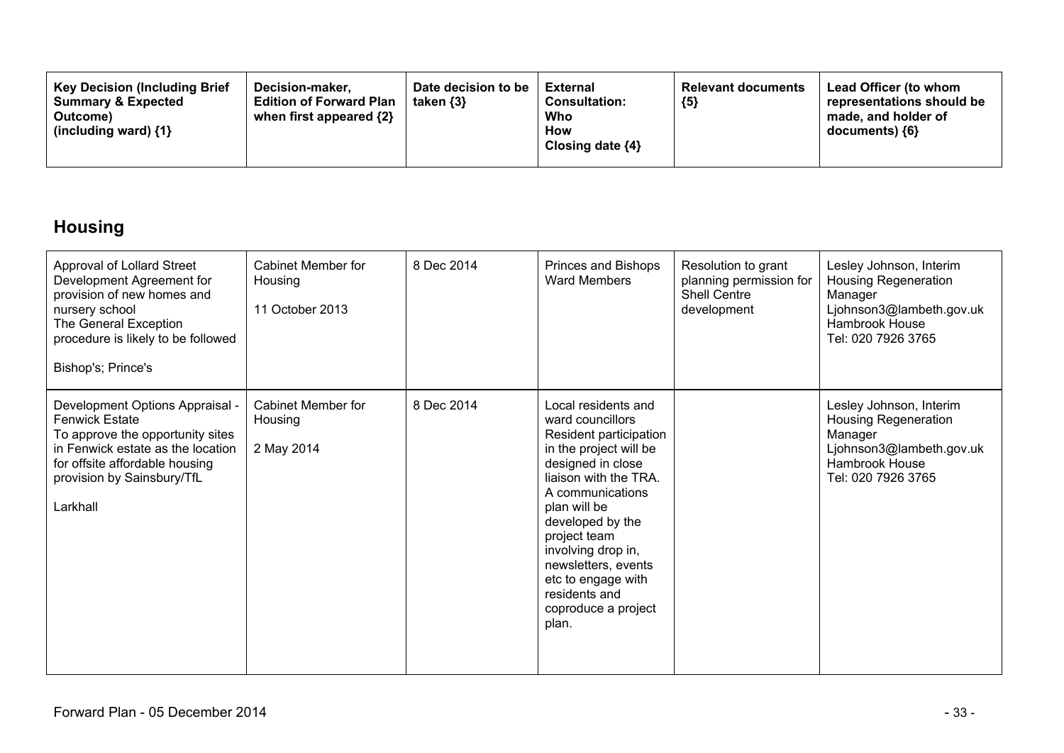| <b>Key Decision (Including Brief)</b><br><b>Summary &amp; Expected</b><br>Outcome)<br>(including ward) $\{1\}$ | Decision-maker.<br><b>Edition of Forward Plan</b><br>when first appeared {2} | Date decision to be<br>taken $\{3\}$ | <b>External</b><br><b>Consultation:</b><br>Who<br><b>How</b><br>Closing date $\{4\}$ | <b>Relevant documents</b><br>${5}$ | Lead Officer (to whom<br>representations should be<br>made, and holder of<br>$documents)$ {6} |
|----------------------------------------------------------------------------------------------------------------|------------------------------------------------------------------------------|--------------------------------------|--------------------------------------------------------------------------------------|------------------------------------|-----------------------------------------------------------------------------------------------|
|----------------------------------------------------------------------------------------------------------------|------------------------------------------------------------------------------|--------------------------------------|--------------------------------------------------------------------------------------|------------------------------------|-----------------------------------------------------------------------------------------------|

## **Housing**

| Approval of Lollard Street<br>Development Agreement for<br>provision of new homes and<br>nursery school<br>The General Exception<br>procedure is likely to be followed<br>Bishop's; Prince's                  | Cabinet Member for<br>Housing<br>11 October 2013 | 8 Dec 2014 | Princes and Bishops<br><b>Ward Members</b>                                                                                                                                                                                                                                                                                            | Resolution to grant<br>planning permission for<br><b>Shell Centre</b><br>development | Lesley Johnson, Interim<br><b>Housing Regeneration</b><br>Manager<br>Ljohnson3@lambeth.gov.uk<br>Hambrook House<br>Tel: 020 7926 3765        |
|---------------------------------------------------------------------------------------------------------------------------------------------------------------------------------------------------------------|--------------------------------------------------|------------|---------------------------------------------------------------------------------------------------------------------------------------------------------------------------------------------------------------------------------------------------------------------------------------------------------------------------------------|--------------------------------------------------------------------------------------|----------------------------------------------------------------------------------------------------------------------------------------------|
| Development Options Appraisal -<br><b>Fenwick Estate</b><br>To approve the opportunity sites<br>in Fenwick estate as the location<br>for offsite affordable housing<br>provision by Sainsbury/TfL<br>Larkhall | Cabinet Member for<br>Housing<br>2 May 2014      | 8 Dec 2014 | Local residents and<br>ward councillors<br>Resident participation<br>in the project will be<br>designed in close<br>liaison with the TRA.<br>A communications<br>plan will be<br>developed by the<br>project team<br>involving drop in,<br>newsletters, events<br>etc to engage with<br>residents and<br>coproduce a project<br>plan. |                                                                                      | Lesley Johnson, Interim<br><b>Housing Regeneration</b><br>Manager<br>Ljohnson3@lambeth.gov.uk<br><b>Hambrook House</b><br>Tel: 020 7926 3765 |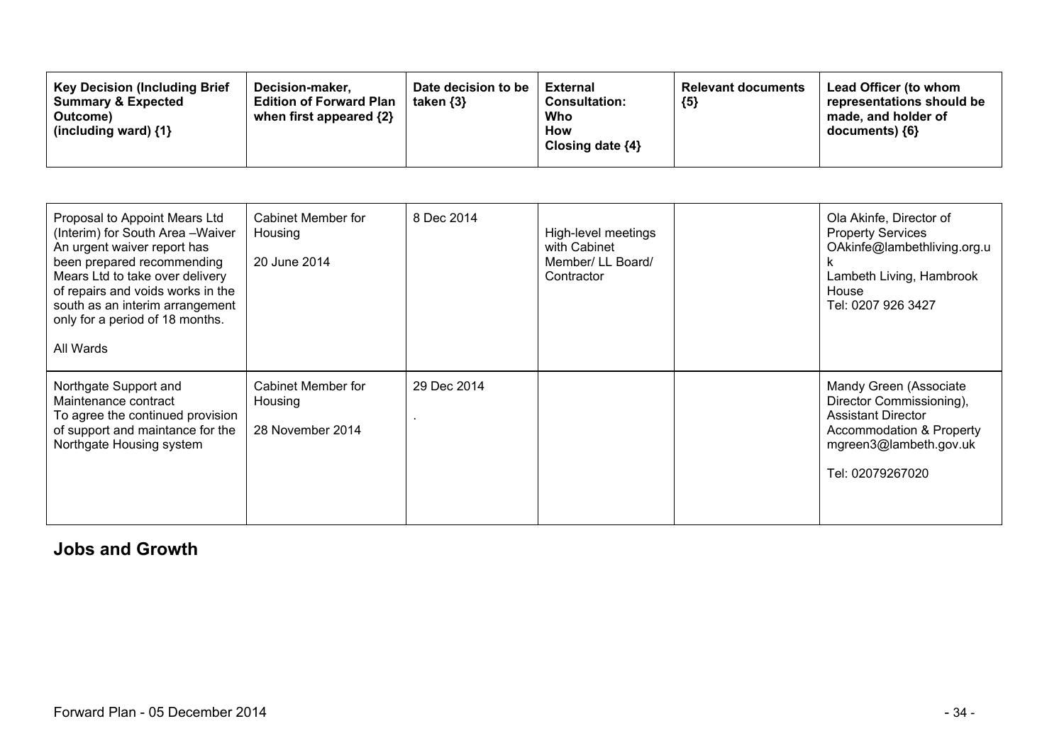| <b>Key Decision (Including Brief</b><br>Decision-maker.<br><b>Edition of Forward Plan</b><br><b>Summary &amp; Expected</b><br>when first appeared {2}<br>Outcome)<br>(including ward) $\{1\}$ | Date decision to be<br>taken $\{3\}$ | External<br><b>Consultation:</b><br>Who<br><b>How</b><br>Closing date $\{4\}$ | <b>Relevant documents</b><br>${5}$ | Lead Officer (to whom<br>representations should be<br>made, and holder of<br>documents) {6} |
|-----------------------------------------------------------------------------------------------------------------------------------------------------------------------------------------------|--------------------------------------|-------------------------------------------------------------------------------|------------------------------------|---------------------------------------------------------------------------------------------|
|-----------------------------------------------------------------------------------------------------------------------------------------------------------------------------------------------|--------------------------------------|-------------------------------------------------------------------------------|------------------------------------|---------------------------------------------------------------------------------------------|

| Proposal to Appoint Mears Ltd<br>(Interim) for South Area - Waiver<br>An urgent waiver report has<br>been prepared recommending<br>Mears Ltd to take over delivery<br>of repairs and voids works in the<br>south as an interim arrangement<br>only for a period of 18 months.<br>All Wards | Cabinet Member for<br>Housing<br>20 June 2014     | 8 Dec 2014  | High-level meetings<br>with Cabinet<br>Member/ LL Board/<br>Contractor | Ola Akinfe, Director of<br><b>Property Services</b><br>OAkinfe@lambethliving.org.u<br>ĸ<br>Lambeth Living, Hambrook<br>House<br>Tel: 0207 926 3427        |
|--------------------------------------------------------------------------------------------------------------------------------------------------------------------------------------------------------------------------------------------------------------------------------------------|---------------------------------------------------|-------------|------------------------------------------------------------------------|-----------------------------------------------------------------------------------------------------------------------------------------------------------|
| Northgate Support and<br>Maintenance contract<br>To agree the continued provision<br>of support and maintance for the<br>Northgate Housing system                                                                                                                                          | Cabinet Member for<br>Housing<br>28 November 2014 | 29 Dec 2014 |                                                                        | Mandy Green (Associate<br>Director Commissioning),<br><b>Assistant Director</b><br>Accommodation & Property<br>mgreen3@lambeth.gov.uk<br>Tel: 02079267020 |

### **Jobs and Growth**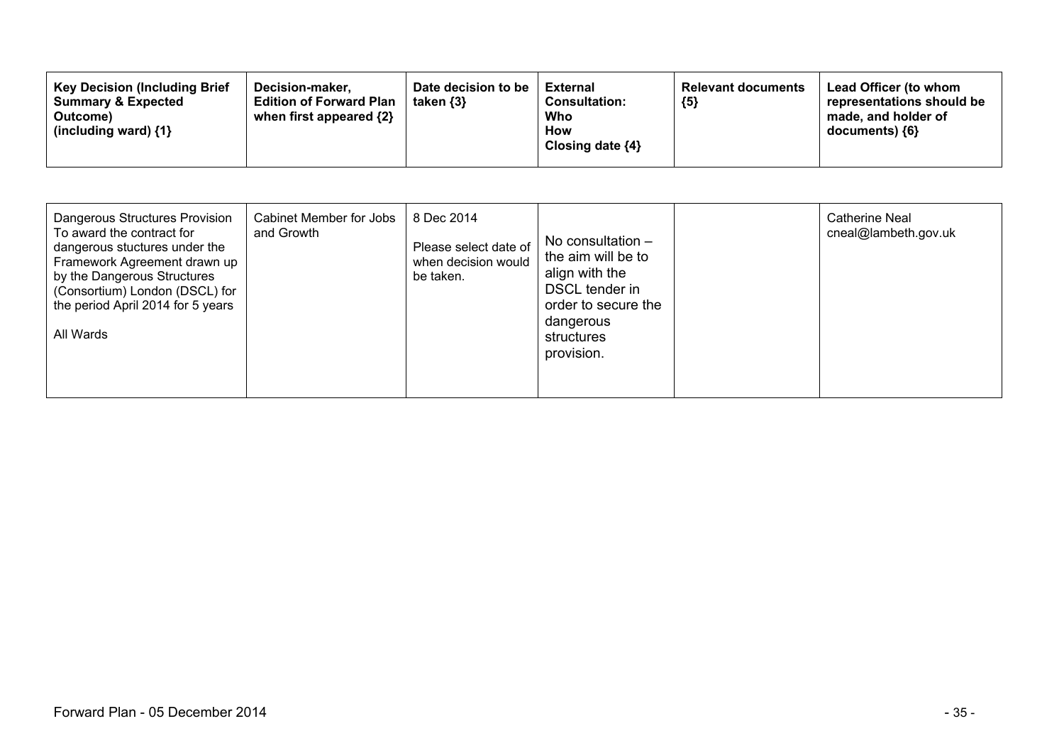| Dangerous Structures Provision<br>To award the contract for<br>dangerous stuctures under the<br>Framework Agreement drawn up<br>by the Dangerous Structures<br>(Consortium) London (DSCL) for<br>the period April 2014 for 5 years<br>All Wards | Cabinet Member for Jobs<br>and Growth | 8 Dec 2014<br>Please select date of<br>when decision would<br>be taken. | No consultation $-$<br>the aim will be to<br>align with the<br>DSCL tender in<br>order to secure the<br>dangerous<br>structures<br>provision. |  | <b>Catherine Neal</b><br>cneal@lambeth.gov.uk |
|-------------------------------------------------------------------------------------------------------------------------------------------------------------------------------------------------------------------------------------------------|---------------------------------------|-------------------------------------------------------------------------|-----------------------------------------------------------------------------------------------------------------------------------------------|--|-----------------------------------------------|
|-------------------------------------------------------------------------------------------------------------------------------------------------------------------------------------------------------------------------------------------------|---------------------------------------|-------------------------------------------------------------------------|-----------------------------------------------------------------------------------------------------------------------------------------------|--|-----------------------------------------------|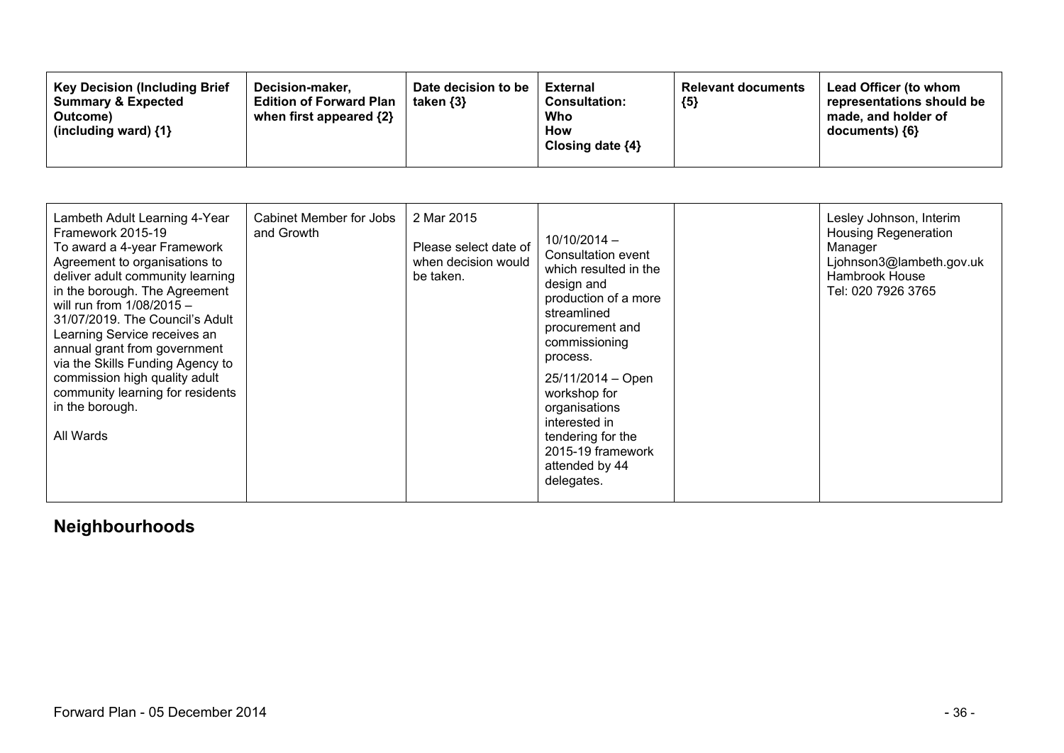| <b>Key Decision (Including Brief</b><br>Decision-maker.<br><b>Summary &amp; Expected</b><br><b>Edition of Forward Plan</b><br>when first appeared $\{2\}$<br>Outcome)<br>(including ward) $\{1\}$ | Date decision to be<br>taken $\{3\}$ | External<br><b>Consultation:</b><br>Who<br>How<br>Closing date $\{4\}$ | <b>Relevant documents</b><br>${5}$ | Lead Officer (to whom<br>representations should be<br>made, and holder of<br>$documents)$ {6} |
|---------------------------------------------------------------------------------------------------------------------------------------------------------------------------------------------------|--------------------------------------|------------------------------------------------------------------------|------------------------------------|-----------------------------------------------------------------------------------------------|
|---------------------------------------------------------------------------------------------------------------------------------------------------------------------------------------------------|--------------------------------------|------------------------------------------------------------------------|------------------------------------|-----------------------------------------------------------------------------------------------|

| Lambeth Adult Learning 4-Year<br>Framework 2015-19<br>To award a 4-year Framework<br>Agreement to organisations to<br>deliver adult community learning<br>in the borough. The Agreement<br>will run from $1/08/2015 -$<br>31/07/2019. The Council's Adult<br>Learning Service receives an<br>annual grant from government<br>via the Skills Funding Agency to<br>commission high quality adult<br>community learning for residents<br>in the borough.<br>All Wards | Cabinet Member for Jobs<br>and Growth | 2 Mar 2015<br>Please select date of<br>when decision would<br>be taken. | $10/10/2014 -$<br>Consultation event<br>which resulted in the<br>design and<br>production of a more<br>streamlined<br>procurement and<br>commissioning<br>process.<br>$25/11/2014 - Open$<br>workshop for<br>organisations<br>interested in<br>tendering for the<br>2015-19 framework<br>attended by 44<br>delegates. |  | Lesley Johnson, Interim<br><b>Housing Regeneration</b><br>Manager<br>Ljohnson3@lambeth.gov.uk<br>Hambrook House<br>Tel: 020 7926 3765 |
|--------------------------------------------------------------------------------------------------------------------------------------------------------------------------------------------------------------------------------------------------------------------------------------------------------------------------------------------------------------------------------------------------------------------------------------------------------------------|---------------------------------------|-------------------------------------------------------------------------|-----------------------------------------------------------------------------------------------------------------------------------------------------------------------------------------------------------------------------------------------------------------------------------------------------------------------|--|---------------------------------------------------------------------------------------------------------------------------------------|
|--------------------------------------------------------------------------------------------------------------------------------------------------------------------------------------------------------------------------------------------------------------------------------------------------------------------------------------------------------------------------------------------------------------------------------------------------------------------|---------------------------------------|-------------------------------------------------------------------------|-----------------------------------------------------------------------------------------------------------------------------------------------------------------------------------------------------------------------------------------------------------------------------------------------------------------------|--|---------------------------------------------------------------------------------------------------------------------------------------|

## **Neighbourhoods**